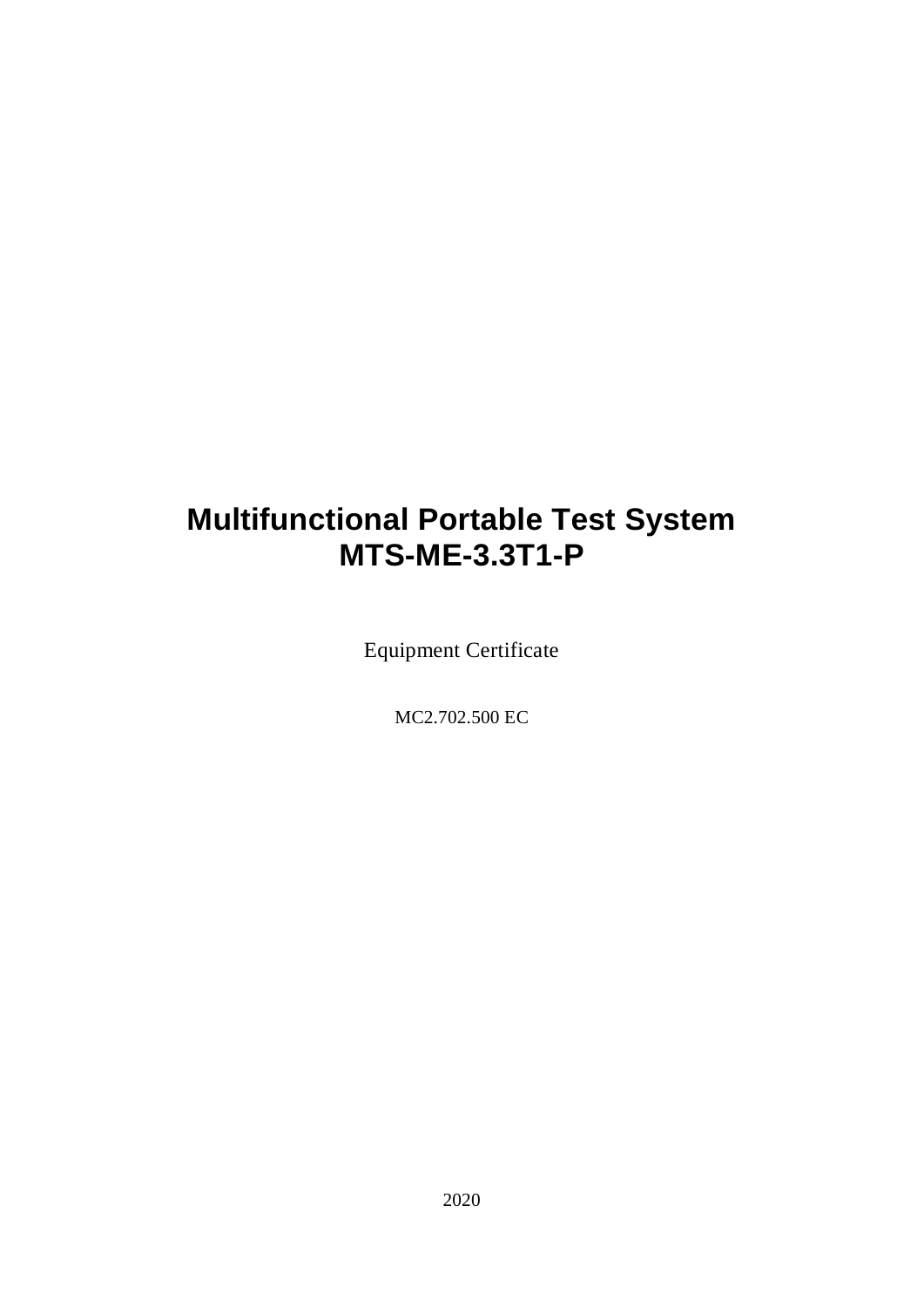# **Multifunctional Portable Test System MTS-ME-3.3T1-P**

Equipment Certificate

MC2.702.500 EC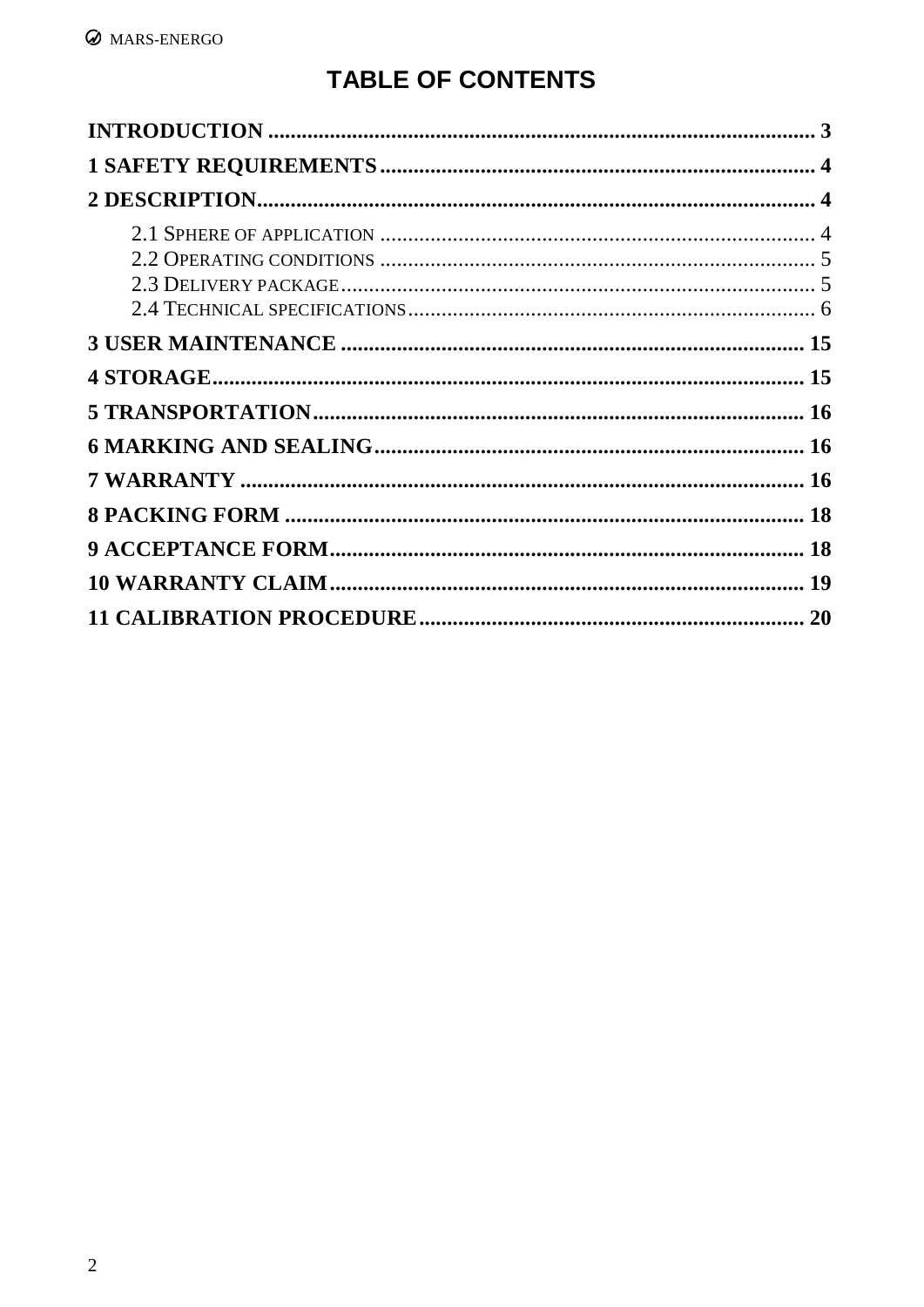# **TABLE OF CONTENTS**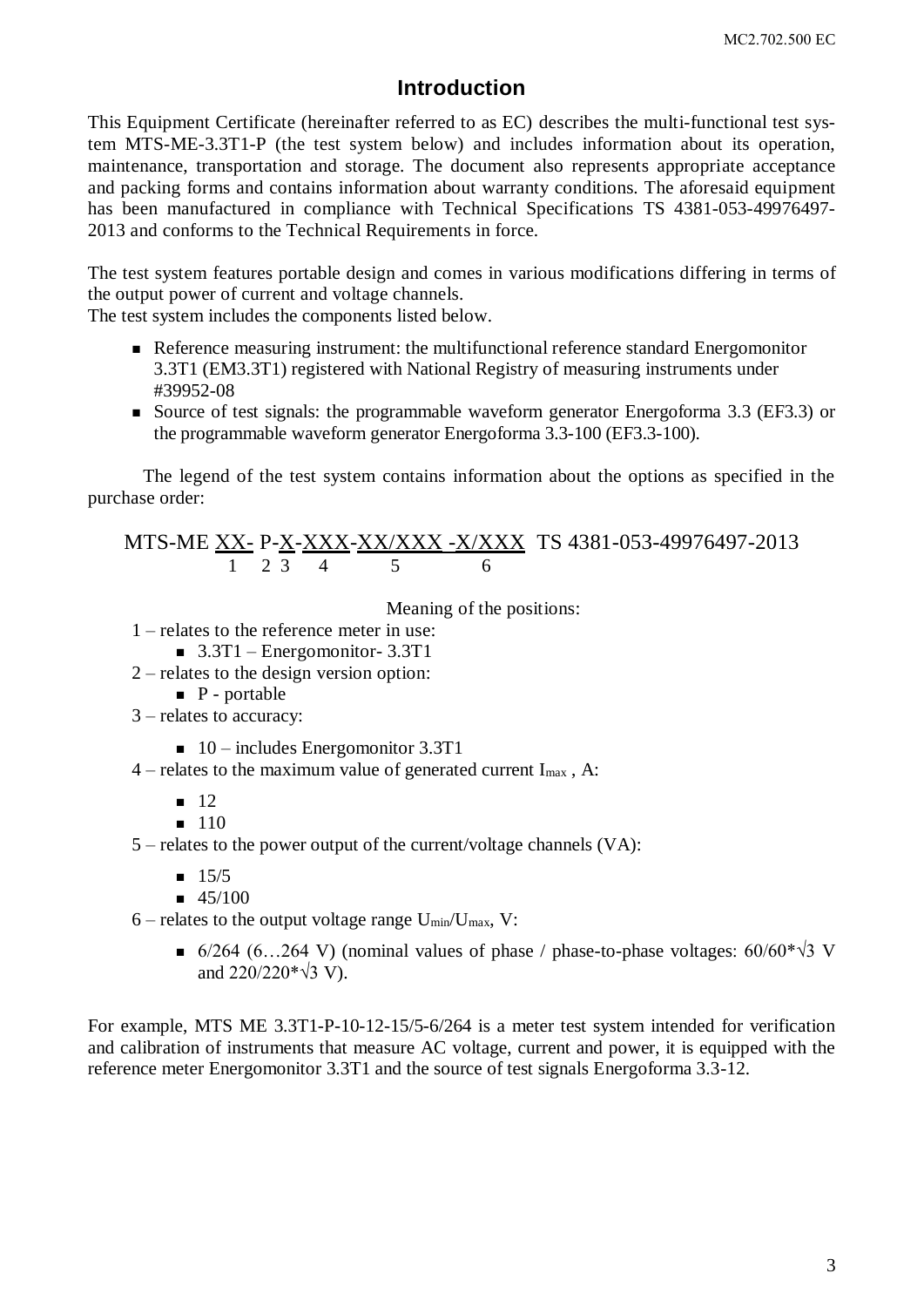#### **Introduction**

<span id="page-2-0"></span>This Equipment Certificate (hereinafter referred to as EC) describes the multi-functional test system MTS-ME-3.3T1-P (the test system below) and includes information about its operation, maintenance, transportation and storage. The document also represents appropriate acceptance and packing forms and contains information about warranty conditions. The aforesaid equipment has been manufactured in compliance with Technical Specifications TS 4381-053-49976497- 2013 and conforms to the Technical Requirements in force.

The test system features portable design and comes in various modifications differing in terms of the output power of current and voltage channels.

The test system includes the components listed below.

- Reference measuring instrument: the multifunctional reference standard Energomonitor 3.3T1 (EM3.3T1) registered with National Registry of measuring instruments under #39952-08
- Source of test signals: the programmable waveform generator Energoforma 3.3 (EF3.3) or the programmable waveform generator Energoforma 3.3-100 (EF3.3-100).

The legend of the test system contains information about the options as specified in the purchase order:

#### MTS-ME XX- P-X-XXX-XX/XXX -X/XXX TS 4381-053-49976497-2013 1 2 3 4 5 6

Meaning of the positions:

- 1 relates to the reference meter in use:
	- $\blacksquare$  3.3T1 Energomonitor- 3.3T1
- 2 relates to the design version option:
	- $\blacksquare$  P portable
- 3 relates to accuracy:
	- $\blacksquare$  10 includes Energomonitor 3.3T1
- $4$  relates to the maximum value of generated current I<sub>max</sub>, A:
	- $12$
	- $110$
- 5 relates to the power output of the current/voltage channels (VA):
	- $15/5$
	- $\blacksquare$  45/100
- $6$  relates to the output voltage range  $U_{min}/U_{max}$ , V:
	- 6/264 (6…264 V) (nominal values of phase / phase-to-phase voltages:  $60/60* \sqrt{3}$  V and  $220/220* \sqrt{3}$  V).

For example, MTS ME 3.3T1-P-10-12-15/5-6/264 is a meter test system intended for verification and calibration of instruments that measure AC voltage, current and power, it is equipped with the reference meter Energomonitor 3.3T1 and the source of test signals Energoforma 3.3-12.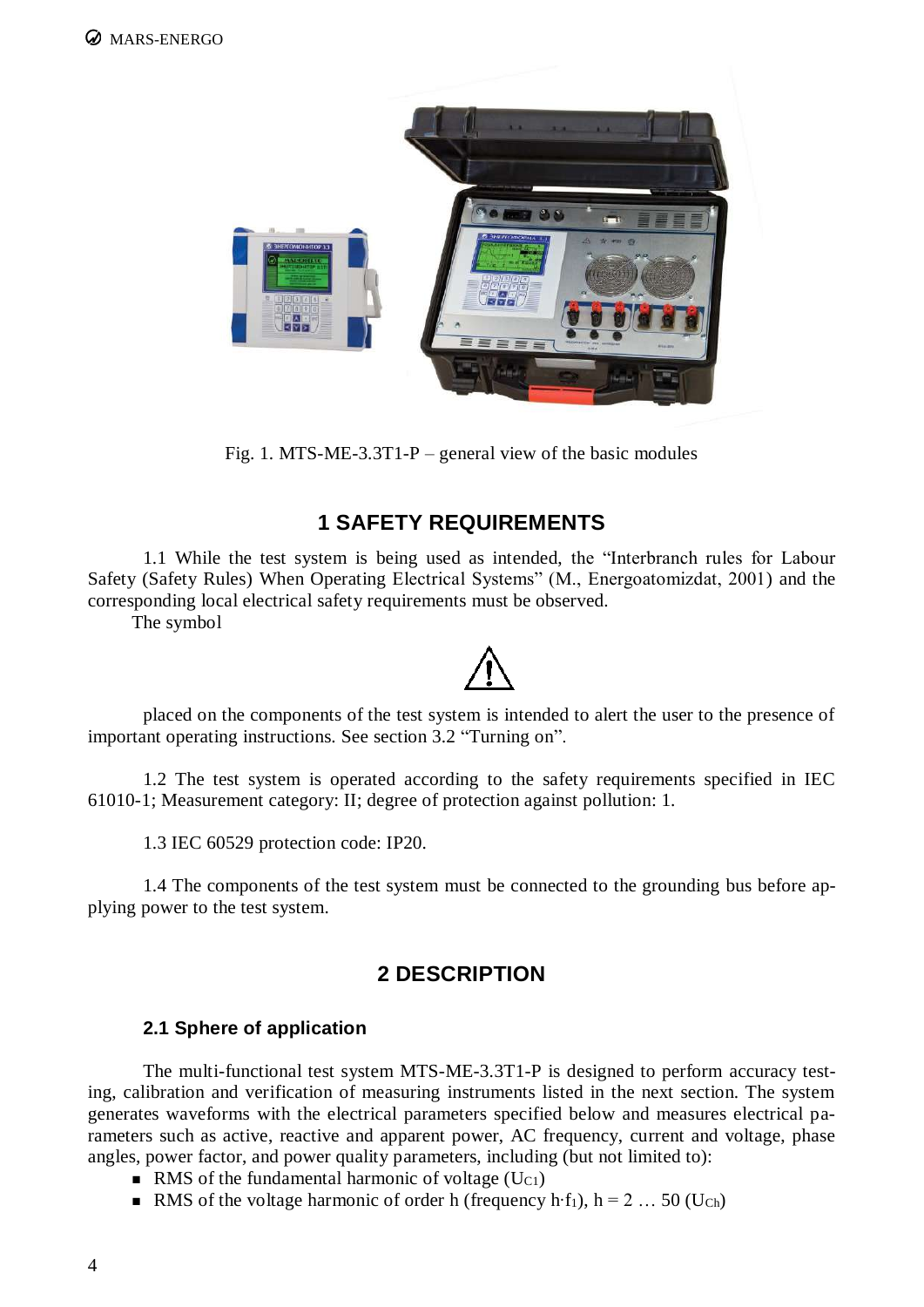

Fig. 1. MTS-ME-3.3T1-P – general view of the basic modules

# **1 SAFETY REQUIREMENTS**

<span id="page-3-0"></span>1.1 While the test system is being used as intended, the "Interbranch rules for Labour Safety (Safety Rules) When Operating Electrical Systems" (M., Energoatomizdat, 2001) and the corresponding local electrical safety requirements must be observed.

The symbol

placed on the components of the test system is intended to alert the user to the presence of important operating instructions. See section 3.2 "Turning on".

1.2 The test system is operated according to the safety requirements specified in IEC 61010-1; Measurement category: II; degree of protection against pollution: 1.

1.3 IEC 60529 protection code: IP20.

1.4 The components of the test system must be connected to the grounding bus before applying power to the test system.

# **2 DESCRIPTION**

#### <span id="page-3-1"></span>**2.1 Sphere of application**

<span id="page-3-2"></span>The multi-functional test system MTS-ME-3.3T1-P is designed to perform accuracy testing, calibration and verification of measuring instruments listed in the next section. The system generates waveforms with the electrical parameters specified below and measures electrical parameters such as active, reactive and apparent power, AC frequency, current and voltage, phase angles, power factor, and power quality parameters, including (but not limited to):

- RMS of the fundamental harmonic of voltage  $(U_{C1})$
- RMS of the voltage harmonic of order h (frequency h⋅f<sub>1</sub>), h = 2 … 50 (U<sub>Ch</sub>)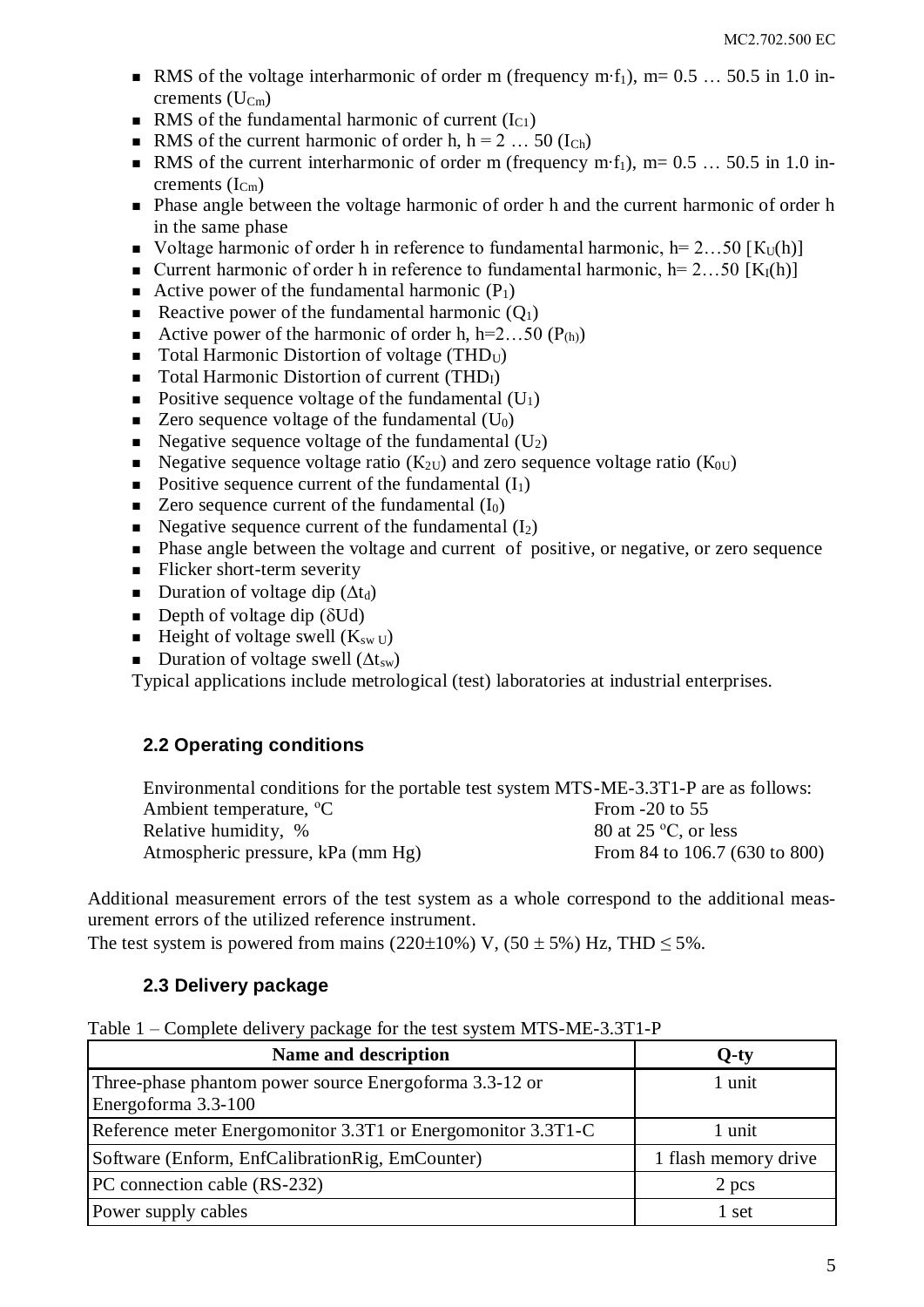- RMS of the voltage interharmonic of order m (frequency m⋅f<sub>1</sub>), m=  $0.5$  … 50.5 in 1.0 increments  $(U_{Cm})$
- RMS of the fundamental harmonic of current  $(I<sub>C1</sub>)$
- RMS of the current harmonic of order h,  $h = 2 ... 50$  ( $I_{Ch}$ )
- RMS of the current interharmonic of order m (frequency m⋅f<sub>1</sub>), m=  $0.5$  … 50.5 in 1.0 increments  $(I_{Cm})$
- Phase angle between the voltage harmonic of order h and the current harmonic of order h in the same phase
- Voltage harmonic of order h in reference to fundamental harmonic,  $h=2...50$  [K<sub>U</sub>(h)]
- **Current harmonic of order h in reference to fundamental harmonic, h= 2...50 [K<sub>I</sub>(h)]**
- Active power of the fundamental harmonic  $(P_1)$
- Reactive power of the fundamental harmonic  $(Q_1)$
- Active power of the harmonic of order h,  $h=2...50$  ( $P_{(h)}$ )
- $\blacksquare$  Total Harmonic Distortion of voltage (THD<sub>U</sub>)
- $\blacksquare$  Total Harmonic Distortion of current (THD<sub>I</sub>)
- Positive sequence voltage of the fundamental  $(U_1)$
- $\blacksquare$  Zero sequence voltage of the fundamental (U<sub>0</sub>)
- Negative sequence voltage of the fundamental  $(U_2)$
- Negative sequence voltage ratio ( $K_{2U}$ ) and zero sequence voltage ratio ( $K_{0U}$ )
- Positive sequence current of the fundamental  $(I_1)$
- $\blacksquare$  Zero sequence current of the fundamental  $(I_0)$
- Negative sequence current of the fundamental  $(I_2)$
- **•** Phase angle between the voltage and current of positive, or negative, or zero sequence
- $\blacksquare$  Flicker short-term severity
- Duration of voltage dip  $(\Delta t_d)$
- Depth of voltage dip  $(\delta U d)$
- **Height of voltage swell (K<sub>sw U</sub>)**
- Duration of voltage swell  $(\Delta t_{sw})$

Typical applications include metrological (test) laboratories at industrial enterprises.

#### <span id="page-4-0"></span>**2.2 Operating conditions**

| Environmental conditions for the portable test system MTS-ME-3.3T1-P are as follows: |                               |
|--------------------------------------------------------------------------------------|-------------------------------|
| Ambient temperature, <sup>o</sup> C                                                  | From $-20$ to 55              |
| Relative humidity, %                                                                 | 80 at 25 $\degree$ C, or less |
| Atmospheric pressure, kPa (mm Hg)                                                    | From 84 to 106.7 (630 to 800) |

Additional measurement errors of the test system as a whole correspond to the additional measurement errors of the utilized reference instrument.

<span id="page-4-1"></span>The test system is powered from mains (220 $\pm$ 10%) V, (50  $\pm$  5%) Hz, THD  $\leq$  5%.

#### **2.3 Delivery package**

|  |  |  |  |  |  |  |  |  | Table 1 – Complete delivery package for the test system MTS-ME-3.3T1-P |
|--|--|--|--|--|--|--|--|--|------------------------------------------------------------------------|
|--|--|--|--|--|--|--|--|--|------------------------------------------------------------------------|

| Name and description                                                          | $Q$ -ty              |
|-------------------------------------------------------------------------------|----------------------|
| Three-phase phantom power source Energoforma 3.3-12 or<br>Energoforma 3.3-100 | 1 unit               |
| Reference meter Energomonitor 3.3T1 or Energomonitor 3.3T1-C                  | 1 unit               |
| Software (Enform, EnfCalibrationRig, EmCounter)                               | 1 flash memory drive |
| PC connection cable (RS-232)                                                  | 2 pcs                |
| Power supply cables                                                           | 1 set                |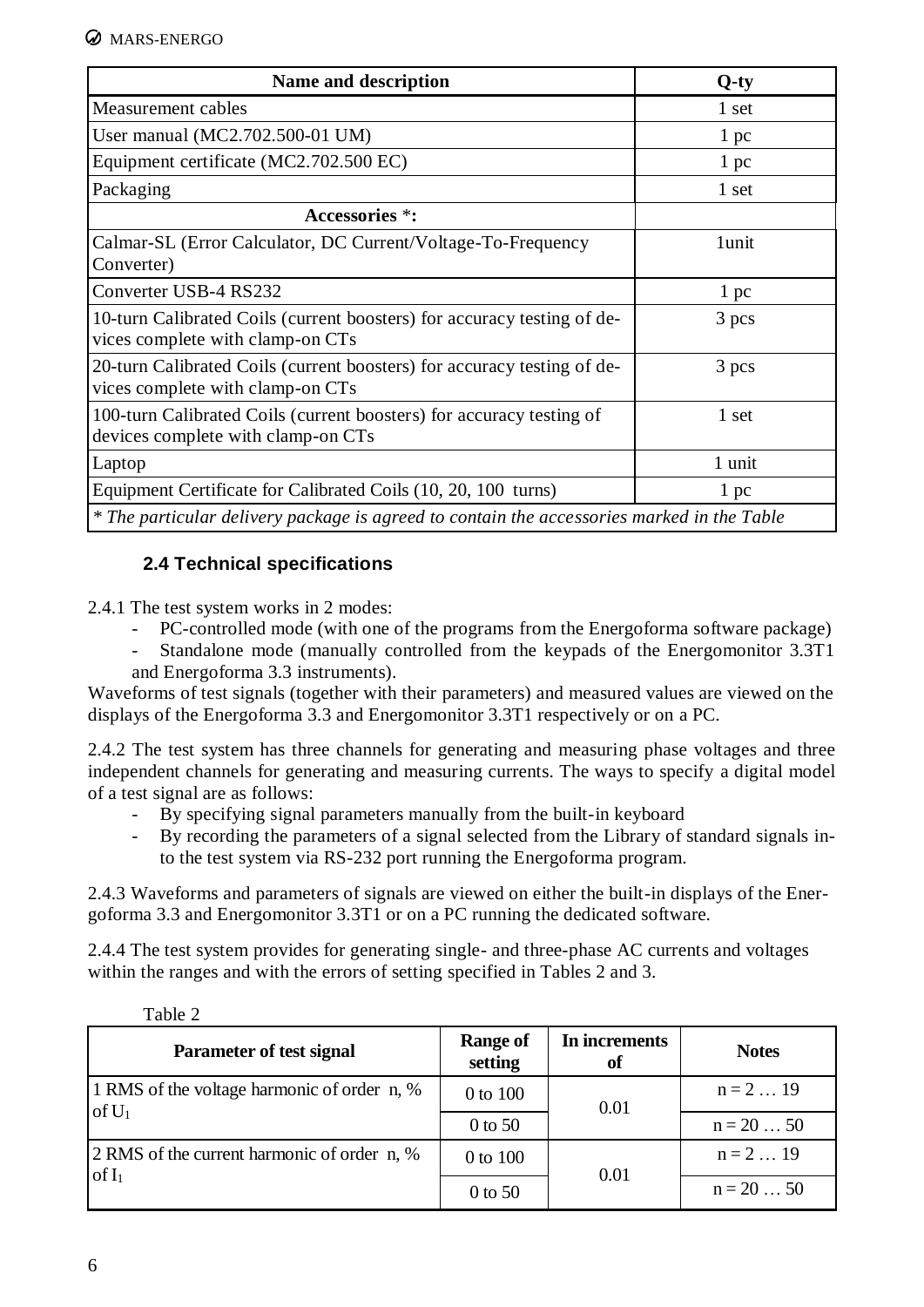| Name and description                                                                                        | $Q$ -ty |
|-------------------------------------------------------------------------------------------------------------|---------|
| Measurement cables                                                                                          | 1 set   |
| User manual (MC2.702.500-01 UM)                                                                             | 1~pc    |
| Equipment certificate (MC2.702.500 EC)                                                                      | 1~pc    |
| Packaging                                                                                                   | 1 set   |
| <b>Accessories *:</b>                                                                                       |         |
| Calmar-SL (Error Calculator, DC Current/Voltage-To-Frequency<br>Converter)                                  | 1unit   |
| Converter USB-4 RS232                                                                                       | 1~pc    |
| 10-turn Calibrated Coils (current boosters) for accuracy testing of de-<br>vices complete with clamp-on CTs | 3 pcs   |
| 20-turn Calibrated Coils (current boosters) for accuracy testing of de-<br>vices complete with clamp-on CTs | 3 pcs   |
| 100-turn Calibrated Coils (current boosters) for accuracy testing of<br>devices complete with clamp-on CTs  | 1 set   |
| Laptop                                                                                                      | 1 unit  |
| Equipment Certificate for Calibrated Coils (10, 20, 100 turns)                                              | 1~pc    |
| * The particular delivery package is agreed to contain the accessories marked in the Table                  |         |

#### **2.4 Technical specifications**

<span id="page-5-0"></span>2.4.1 The test system works in 2 modes:

- PC-controlled mode (with one of the programs from the Energoforma software package)
- Standalone mode (manually controlled from the keypads of the Energomonitor 3.3T1 and Energoforma 3.3 instruments).

Waveforms of test signals (together with their parameters) and measured values are viewed on the displays of the Energoforma 3.3 and Energomonitor 3.3T1 respectively or on a PC.

2.4.2 The test system has three channels for generating and measuring phase voltages and three independent channels for generating and measuring currents. The ways to specify a digital model of a test signal are as follows:

- By specifying signal parameters manually from the built-in keyboard
- By recording the parameters of a signal selected from the Library of standard signals into the test system via RS-232 port running the Energoforma program.

2.4.3 Waveforms and parameters of signals are viewed on either the built-in displays of the Energoforma 3.3 and Energomonitor 3.3T1 or on a PC running the dedicated software.

2.4.4 The test system provides for generating single- and three-phase AC currents and voltages within the ranges and with the errors of setting specified in Tables 2 and 3.

| Parameter of test signal                                | <b>Range of</b><br>setting | In increments<br>of | <b>Notes</b> |
|---------------------------------------------------------|----------------------------|---------------------|--------------|
| 1 RMS of the voltage harmonic of order n, %<br>of $U_1$ | 0 to 100                   | 0.01                | $n = 2  19$  |
|                                                         | $0$ to 50                  |                     | $n = 2050$   |
| 2 RMS of the current harmonic of order n, %             | 0 to 100                   | 0.01                | $n = 2  19$  |
| of $I_1$                                                | $0$ to 50                  |                     | $n = 2050$   |

Table 2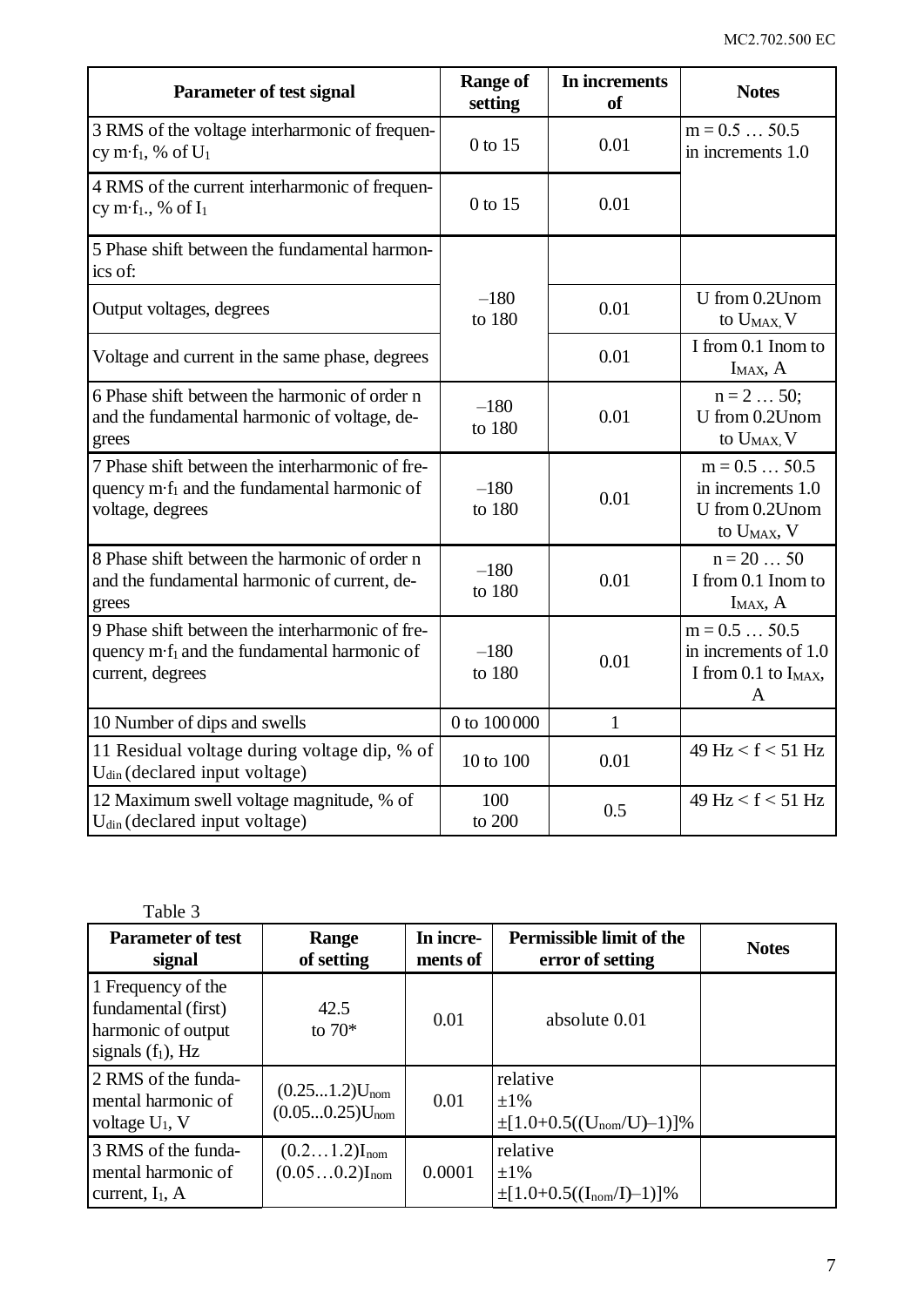| Parameter of test signal                                                                                                       | <b>Range of</b><br>setting | In increments<br>of | <b>Notes</b>                                                                    |
|--------------------------------------------------------------------------------------------------------------------------------|----------------------------|---------------------|---------------------------------------------------------------------------------|
| 3 RMS of the voltage interharmonic of frequen-<br>cy m·f <sub>1</sub> , % of $U_1$                                             | 0 to 15                    | 0.01                | $m = 0.5  50.5$<br>in increments 1.0                                            |
| 4 RMS of the current interharmonic of frequen-<br>cy m·f <sub>1</sub> ., % of $I_1$                                            | 0 to 15                    | 0.01                |                                                                                 |
| 5 Phase shift between the fundamental harmon-<br>ics of:                                                                       |                            |                     |                                                                                 |
| Output voltages, degrees                                                                                                       | $-180$<br>to 180           | 0.01                | U from 0.2Unom<br>to U <sub>MAX</sub> , V                                       |
| Voltage and current in the same phase, degrees                                                                                 |                            | 0.01                | I from 0.1 Inom to<br>$I_{MAX}$ , $A$                                           |
| 6 Phase shift between the harmonic of order n<br>and the fundamental harmonic of voltage, de-<br>grees                         | $-180$<br>to 180           | 0.01                | $n = 2  50;$<br>U from 0.2Unom<br>to $U_{MAX}$ , $V$                            |
| 7 Phase shift between the interharmonic of fre-<br>quency m·f <sub>1</sub> and the fundamental harmonic of<br>voltage, degrees | $-180$<br>to 180           | 0.01                | $m = 0.550.5$<br>in increments 1.0<br>U from 0.2Unom<br>to U <sub>MAX</sub> , V |
| 8 Phase shift between the harmonic of order n<br>and the fundamental harmonic of current, de-<br>grees                         | $-180$<br>to 180           | 0.01                | $n = 20  50$<br>I from 0.1 Inom to<br>$I_{MAX}$ , A                             |
| 9 Phase shift between the interharmonic of fre-<br>quency m·f <sub>1</sub> and the fundamental harmonic of<br>current, degrees | $-180$<br>to 180           | 0.01                | $m = 0.550.5$<br>in increments of 1.0<br>I from 0.1 to $I_{MAX}$ ,<br>A         |
| 10 Number of dips and swells                                                                                                   | 0 to 100 000               | $\mathbf{1}$        |                                                                                 |
| 11 Residual voltage during voltage dip, % of<br>U <sub>din</sub> (declared input voltage)                                      | 10 to 100                  | 0.01                | $49 \text{ Hz} < f < 51 \text{ Hz}$                                             |
| 12 Maximum swell voltage magnitude, % of<br>U <sub>din</sub> (declared input voltage)                                          | 100<br>to 200              | 0.5                 | $49 \text{ Hz} < f < 51 \text{ Hz}$                                             |

| Table 3                                                                                 |                                           |                       |                                                               |              |
|-----------------------------------------------------------------------------------------|-------------------------------------------|-----------------------|---------------------------------------------------------------|--------------|
| <b>Parameter of test</b><br>signal                                                      | Range<br>of setting                       | In incre-<br>ments of | <b>Permissible limit of the</b><br>error of setting           | <b>Notes</b> |
| 1 Frequency of the<br>fundamental (first)<br>harmonic of output<br>signals $(f_1)$ , Hz | 42.5<br>to $70*$                          | 0.01                  | absolute 0.01                                                 |              |
| 2 RMS of the funda-<br>mental harmonic of<br>voltage $U_1$ , V                          | $(0.251.2)U_{nom}$<br>$(0.050.25)U_{nom}$ | 0.01                  | relative<br>$\pm 1\%$<br>$\pm [1.0+0.5((U_{nom}/U)-1)]\%$     |              |
| 3 RMS of the funda-<br>mental harmonic of<br>current, $I_1$ , A                         | $(0.21.2)I_{nom}$<br>$(0.050.2)I_{nom}$   | 0.0001                | relative<br>$\pm 1\%$<br>$\pm [1.0 + 0.5((I_{nom}/I) - 1)]\%$ |              |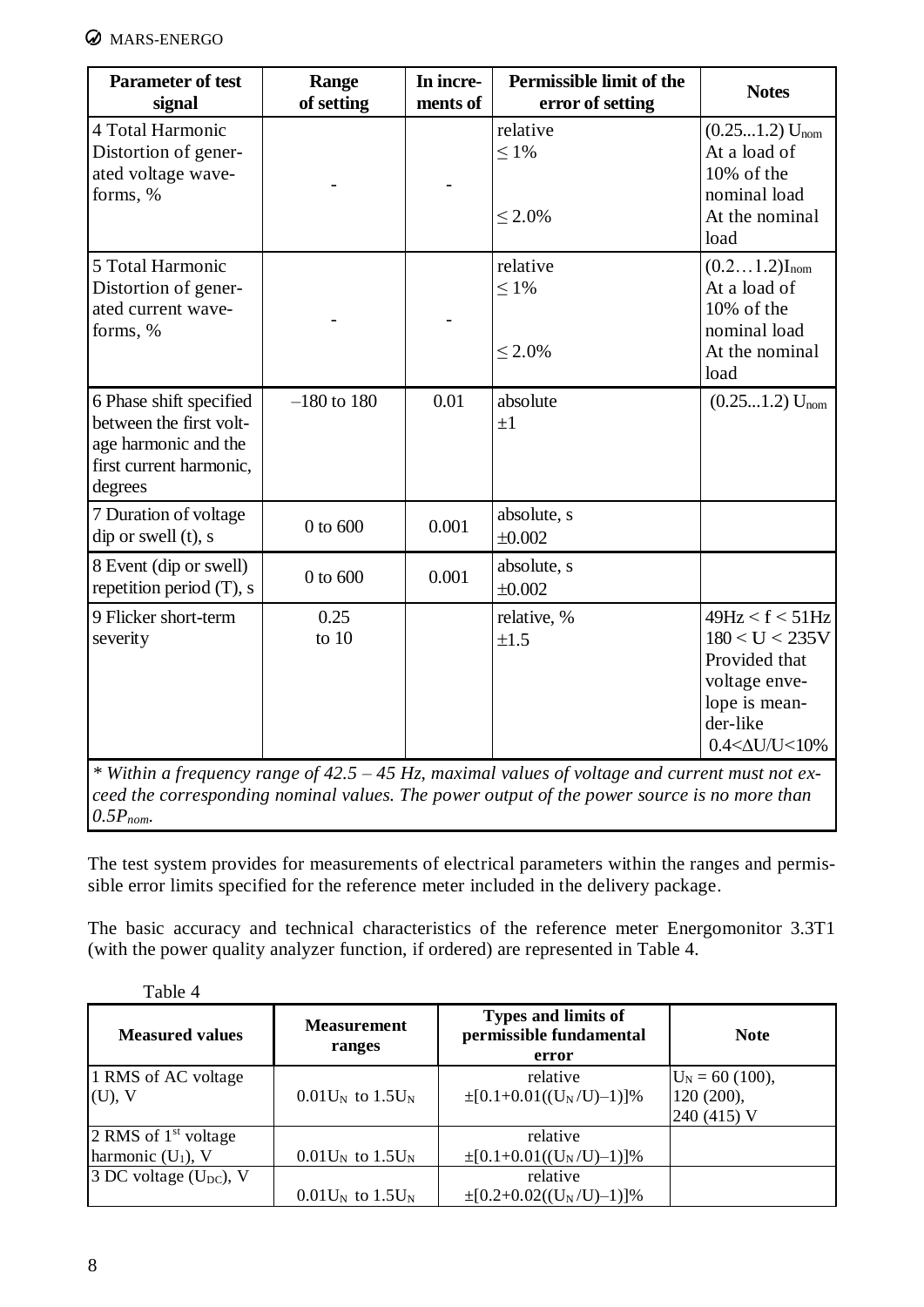

| <b>Parameter of test</b><br>signal                                                                               | Range<br>of setting | In incre-<br>ments of | Permissible limit of the<br>error of setting | <b>Notes</b>                                                                                                              |
|------------------------------------------------------------------------------------------------------------------|---------------------|-----------------------|----------------------------------------------|---------------------------------------------------------------------------------------------------------------------------|
| 4 Total Harmonic<br>Distortion of gener-<br>ated voltage wave-<br>forms, %                                       |                     |                       | relative<br>$\leq 1\%$<br>$< 2.0\%$          | $(0.251.2)$ U <sub>nom</sub><br>At a load of<br>10% of the<br>nominal load<br>At the nominal<br>load                      |
| 5 Total Harmonic<br>Distortion of gener-<br>ated current wave-<br>forms, %                                       |                     |                       | relative<br>$\leq 1\%$<br>$\leq 2.0\%$       | $(0.21.2)I_{nom}$<br>At a load of<br>10% of the<br>nominal load<br>At the nominal<br>load                                 |
| 6 Phase shift specified<br>between the first volt-<br>age harmonic and the<br>first current harmonic,<br>degrees | $-180$ to 180       | 0.01                  | absolute<br>$\pm 1$                          | $(0.251.2)$ U <sub>nom</sub>                                                                                              |
| 7 Duration of voltage<br>dip or swell (t), s                                                                     | $0$ to $600$        | 0.001                 | absolute, s<br>$\pm 0.002$                   |                                                                                                                           |
| 8 Event (dip or swell)<br>repetition period $(T)$ , s                                                            | 0 to 600            | 0.001                 | absolute, s<br>$\pm 0.002$                   |                                                                                                                           |
| 9 Flicker short-term<br>severity                                                                                 | 0.25<br>to $10$     |                       | relative, %<br>±1.5                          | 49Hz < f < 51Hz<br>180 < U < 235V<br>Provided that<br>voltage enve-<br>lope is mean-<br>der-like<br>$0.4<\Delta U/U<10\%$ |

*\* Within a frequency range of 42.5 – 45 Hz, maximal values of voltage and current must not exceed the corresponding nominal values. The power output of the power source is no more than 0.5Pnom.*

The test system provides for measurements of electrical parameters within the ranges and permissible error limits specified for the reference meter included in the delivery package.

The basic accuracy and technical characteristics of the reference meter Energomonitor 3.3T1 (with the power quality analyzer function, if ordered) are represented in Table 4.

| TUOIV I                          |                                               |                                                         |                                                |
|----------------------------------|-----------------------------------------------|---------------------------------------------------------|------------------------------------------------|
| <b>Measured values</b>           | <b>Measurement</b><br>ranges                  | Types and limits of<br>permissible fundamental<br>error | <b>Note</b>                                    |
| 1 RMS of AC voltage<br>$(U)$ , V | $0.01$ U <sub>N</sub> to $1.5$ U <sub>N</sub> | relative<br>$\pm [0.1 + 0.01((U_N/U)-1)]\%$             | $U_N = 60$ (100),<br>120 (200),<br>240 (415) V |
| 2 RMS of $1st$ voltage           |                                               | relative                                                |                                                |
| harmonic $(U_1)$ , V             | $0.01U_N$ to $1.5U_N$                         | $\pm [0.1 + 0.01((U_N/U)-1)]\%$                         |                                                |
| 3 DC voltage $(U_{DC})$ , V      |                                               | relative                                                |                                                |
|                                  | $0.01$ U <sub>N</sub> to $1.5$ U <sub>N</sub> | $\pm [0.2 + 0.02((U_N/U)-1)]\%$                         |                                                |



8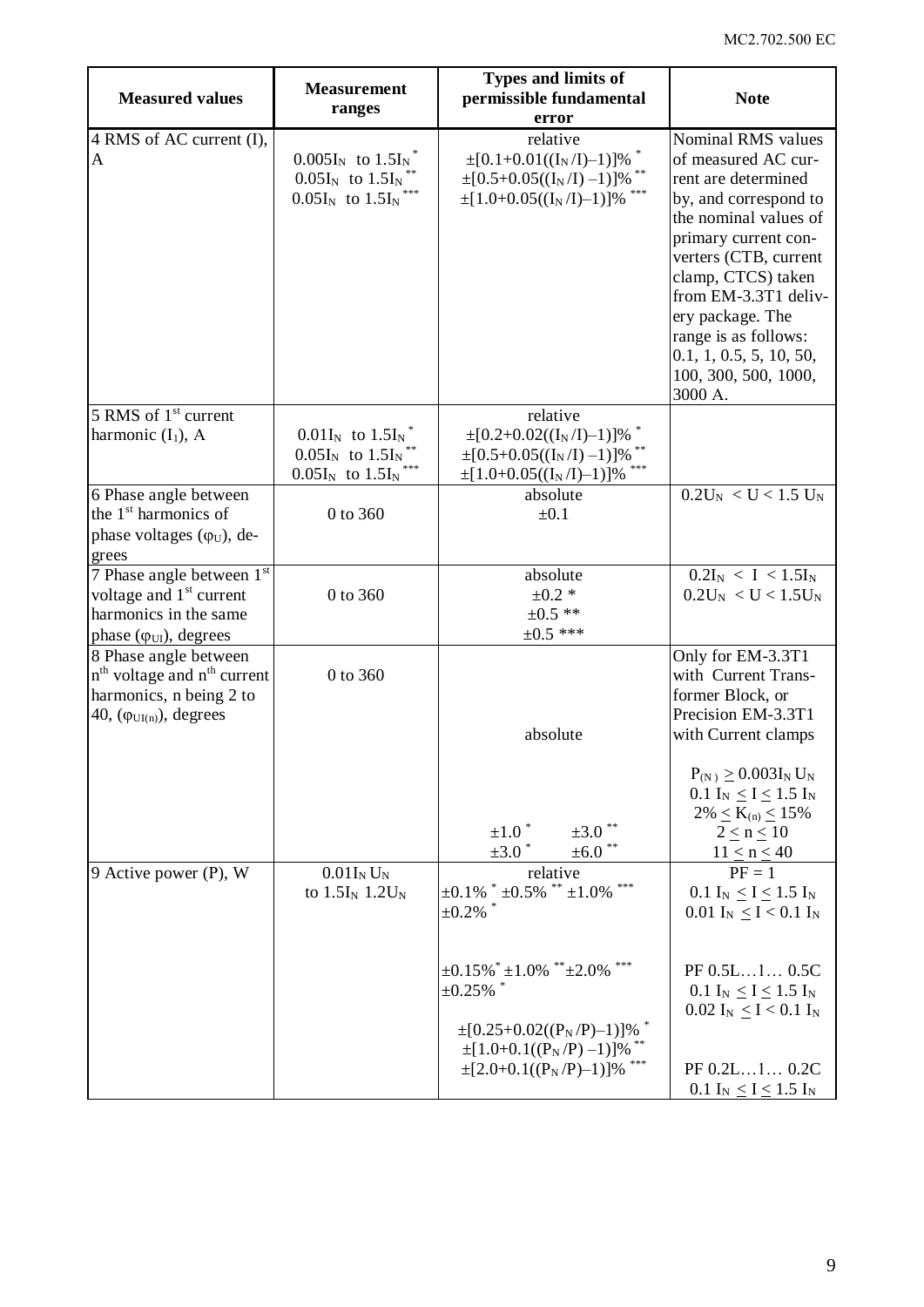| <b>Measured values</b>                                                                                                   | <b>Measurement</b><br>ranges                                                               | <b>Types and limits of</b><br>permissible fundamental<br>error                                                                                                                                                                                                       | <b>Note</b>                                                                                                                                                                                                                                                                                                                 |
|--------------------------------------------------------------------------------------------------------------------------|--------------------------------------------------------------------------------------------|----------------------------------------------------------------------------------------------------------------------------------------------------------------------------------------------------------------------------------------------------------------------|-----------------------------------------------------------------------------------------------------------------------------------------------------------------------------------------------------------------------------------------------------------------------------------------------------------------------------|
| 4 RMS of AC current (I),<br>$\mathbf{A}$                                                                                 | $0.005I_N$ to $1.5I_N^*$<br>$0.05I_N$ to $1.5I_N$<br>$0.05I_N$ to $1.5I_N$                 | relative<br>$\pm [0.1 + 0.01((I_N/I)-1)]\%$<br>$\pm[0.5+0.05((I_N/I)-1)]\%$<br>$\pm[1.0+0.05((I_N/I)-1)]\%$                                                                                                                                                          | Nominal RMS values<br>of measured AC cur-<br>rent are determined<br>by, and correspond to<br>the nominal values of<br>primary current con-<br>verters (CTB, current<br>clamp, CTCS) taken<br>from EM-3.3T1 deliv-<br>ery package. The<br>range is as follows:<br>0.1, 1, 0.5, 5, 10, 50,<br>100, 300, 500, 1000,<br>3000 A. |
| 5 RMS of 1 <sup>st</sup> current<br>harmonic $(I_1)$ , A                                                                 | $0.01I_N$ to $1.5I_N^*$<br>$0.05I_N$ to $1.5I_N$ <sup>*</sup><br>$0.05I_N$ to $1.5I_N$ *** | relative<br>$\pm [0.2 + 0.02((I_N/I)-1)]\%$<br>$\pm[0.5+0.05((I_N/I)-1)]\%$<br>$\pm[1.0+0.05((I_N/I)-1)]\%$                                                                                                                                                          |                                                                                                                                                                                                                                                                                                                             |
| 6 Phase angle between<br>the 1 <sup>st</sup> harmonics of<br>phase voltages $(\varphi_U)$ , de-<br>grees                 | 0 to 360                                                                                   | absolute<br>$\pm 0.1$                                                                                                                                                                                                                                                | $0.2U_N < U < 1.5 U_N$                                                                                                                                                                                                                                                                                                      |
| 7 Phase angle between 1st<br>voltage and $1st$ current<br>harmonics in the same<br>phase $(\varphi_{UI})$ , degrees      | 0 to 360                                                                                   | absolute<br>$±0.2*$<br>$\pm 0.5$ **<br>$\pm 0.5$ ***                                                                                                                                                                                                                 | $0.2I_N < I < 1.5I_N$<br>$0.2U_N < U < 1.5U_N$                                                                                                                                                                                                                                                                              |
| 8 Phase angle between<br>$nth$ voltage and $nth$ current<br>harmonics, n being 2 to<br>40, $(\varphi_{UI(n)})$ , degrees | 0 to 360                                                                                   | absolute<br>$\pm3.0$ $^{**}$<br>$\pm 1.0$ <sup>*</sup><br>$\pm 3.0$ *<br>$±6.0$ **                                                                                                                                                                                   | Only for EM-3.3T1<br>with Current Trans-<br>former Block, or<br>Precision EM-3.3T1<br>with Current clamps<br>$P_{(N)} \ge 0.003I_N U_N$<br>0.1 $I_N \le I \le 1.5 I_N$<br>$2\% \le K_{(n)} \le 15\%$<br>$2 \leq n \leq 10$<br>$11 \le n \le 40$                                                                             |
| 9 Active power (P), W                                                                                                    | $0.01I_N U_N$<br>to $1.5I_N$ 1.2U <sub>N</sub>                                             | relative<br>$\pm 0.1\%$ * $\pm 0.5\%$ ** $\pm 1.0\%$<br>$\pm 0.2\%$<br>$\pm 0.15\%$ $^*$ $\pm 1.0\%$ $^{**}$ $\pm 2.0\%$ $^{***}$<br>$\pm 0.25\%$ $^{*}$<br>$\pm [0.25+0.02((P_N/P)-1)]\%$<br>$\pm[1.0+0.1((P_N/P)-1)]\%$<br>$\pm$ [2.0+0.1((P <sub>N</sub> /P)-1)]% | $PF = 1$<br>0.1 $I_N \leq I \leq 1.5$ $I_N$<br>0.01 $I_N \leq I < 0.1$ $I_N$<br>PF 0.5L1 0.5C<br>$0.1 I_N \le I \le 1.5 I_N$<br>$0.02$ I <sub>N</sub> $\leq$ I < 0.1 I <sub>N</sub><br>PF 0.2L10.2C<br>$0.1 I_N \le I \le 1.5 I_N$                                                                                          |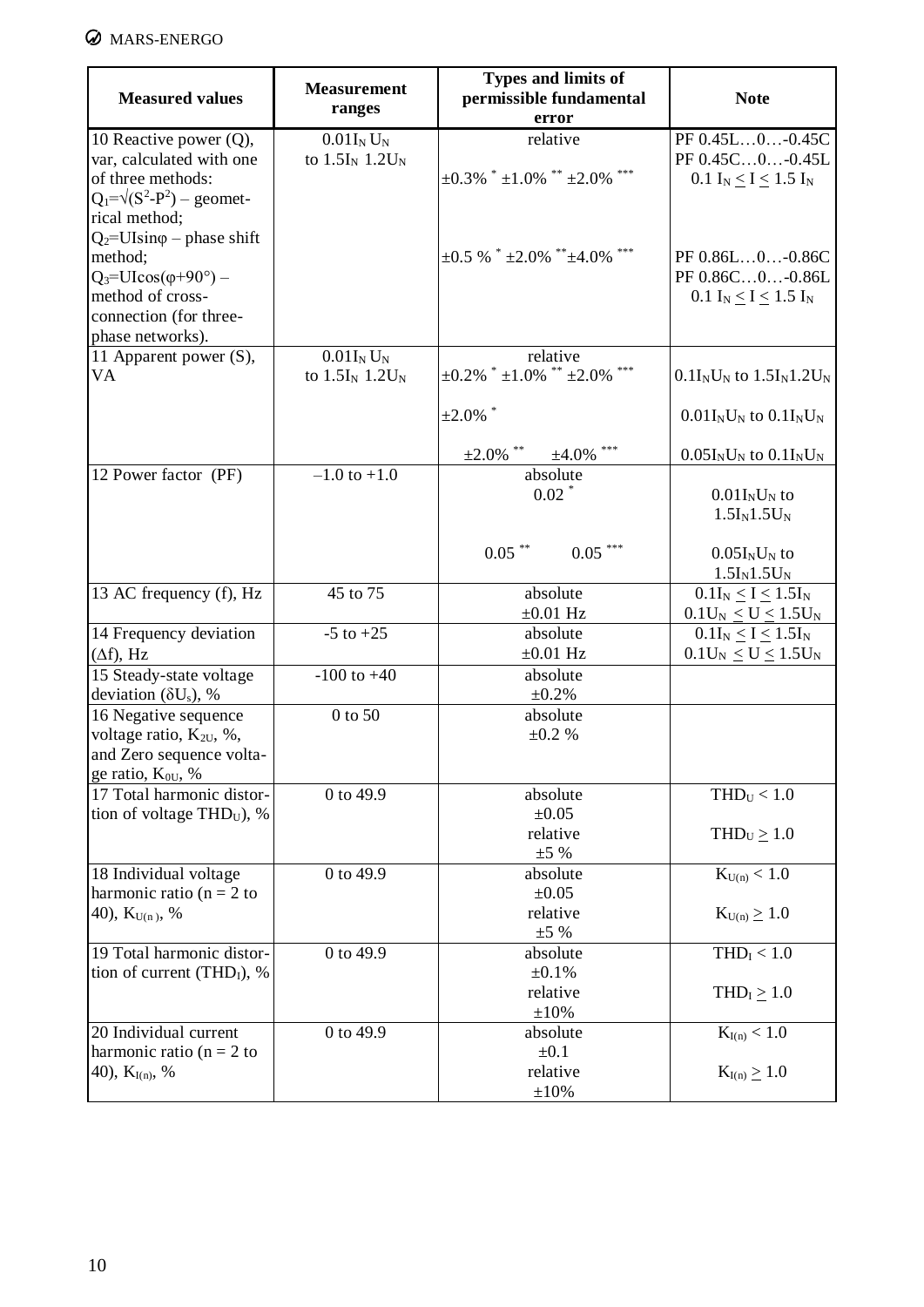# **Ø** MARS-ENERGO

| <b>Measured values</b>                                                                                                                                    | <b>Measurement</b><br>ranges          | <b>Types and limits of</b><br>permissible fundamental<br>error | <b>Note</b>                                                           |
|-----------------------------------------------------------------------------------------------------------------------------------------------------------|---------------------------------------|----------------------------------------------------------------|-----------------------------------------------------------------------|
| 10 Reactive power $(Q)$ ,<br>var, calculated with one<br>of three methods:<br>$Q_1 = \sqrt{(S^2 - P^2)} -$ geomet-<br>rical method;                       | $0.01I_N U_N$<br>to $1.5I_N$ $1.2U_N$ | relative<br>$\pm 0.3\%$ * $\pm 1.0\%$ ** $\pm 2.0\%$ ***       | PF 0.45L0-0.45C<br>PF 0.45C0-0.45L<br>0.1 $I_N \le I \le 1.5 I_N$     |
| $Q_2$ =UIsin $\varphi$ – phase shift<br>method;<br>$Q_3 = UI\cos(\varphi + 90^\circ)$ –<br>method of cross-<br>connection (for three-<br>phase networks). |                                       | $\pm 0.5$ % $*$ $\pm 2.0$ % $*$ $\pm 4.0$ % $*$                | PF 0.86L0-0.86C<br>PF 0.86C0-0.86L<br>0.1 $I_N \leq I \leq 1.5$ $I_N$ |
| 11 Apparent power (S),<br>VA                                                                                                                              | $0.01I_N U_N$<br>to $1.5I_N$ $1.2U_N$ | relative<br>$\pm 0.2\%$ * $\pm 1.0\%$ ** $\pm 2.0\%$           | $0.1I_NU_N$ to $1.5I_N1.2U_N$                                         |
|                                                                                                                                                           |                                       | $\pm 2.0\%$ *                                                  | $0.01I_NU_N$ to $0.1I_NU_N$                                           |
|                                                                                                                                                           |                                       | $\pm 2.0\%$ **<br>$±4.0\%$ ***                                 | $0.05I_NU_N$ to $0.1I_NU_N$                                           |
| 12 Power factor (PF)                                                                                                                                      | $-1.0$ to $+1.0$                      | absolute<br>$0.02$ *                                           | $0.01I_NU_N$ to<br>$1.5I_N1.5U_N$                                     |
|                                                                                                                                                           |                                       | $0.05$ **<br>$0.05***$                                         | $0.05I_NU_N$ to<br>$1.5I_N1.5U_N$                                     |
| 13 AC frequency (f), Hz                                                                                                                                   | 45 to 75                              | absolute<br>$\pm 0.01$ Hz                                      | $0.1I_N \leq I \leq 1.5I_N$<br>$0.1U_N \leq U \leq 1.5U_N$            |
| 14 Frequency deviation<br>$(\Delta f)$ , Hz                                                                                                               | $-5$ to $+25$                         | absolute<br>$\pm 0.01$ Hz                                      | $0.1I_N \leq I \leq 1.5I_N$<br>$0.1U_N \leq U \leq 1.5U_N$            |
| 15 Steady-state voltage<br>deviation ( $\delta U_s$ ), %                                                                                                  | $-100$ to $+40$                       | absolute<br>$±0.2\%$                                           |                                                                       |
| 16 Negative sequence<br>voltage ratio, K <sub>2U</sub> , %,<br>and Zero sequence volta-<br>ge ratio, K <sub>0U</sub> , %                                  | 0 to 50                               | absolute<br>±0.2%                                              |                                                                       |
| 17 Total harmonic distor-<br>tion of voltage THD <sub>U</sub> ), %                                                                                        | 0 to 49.9                             | absolute<br>$\pm 0.05$<br>relative<br>$\pm 5\%$                | $THD_U < 1.0$<br>$THD_U \geq 1.0$                                     |
| 18 Individual voltage<br>harmonic ratio ( $n = 2$ to<br>40), $K_{U(n)}$ , %                                                                               | 0 to 49.9                             | absolute<br>$\pm 0.05$<br>relative<br>$\pm 5\%$                | $K_{U(n)} < 1.0$<br>$K_{U(n)} \geq 1.0$                               |
| 19 Total harmonic distor-<br>tion of current (THD <sub>I</sub> ), %                                                                                       | 0 to 49.9                             | absolute<br>±0.1%<br>relative<br>$\pm 10\%$                    | THD <sub>I</sub> < 1.0<br>$THDI \ge 1.0$                              |
| 20 Individual current<br>harmonic ratio ( $n = 2$ to<br>40), $K_{I(n)}$ , %                                                                               | 0 to 49.9                             | absolute<br>$\pm 0.1$<br>relative<br>$\pm 10\%$                | $K_{I(n)} < 1.0$<br>$K_{I(n)} \geq 1.0$                               |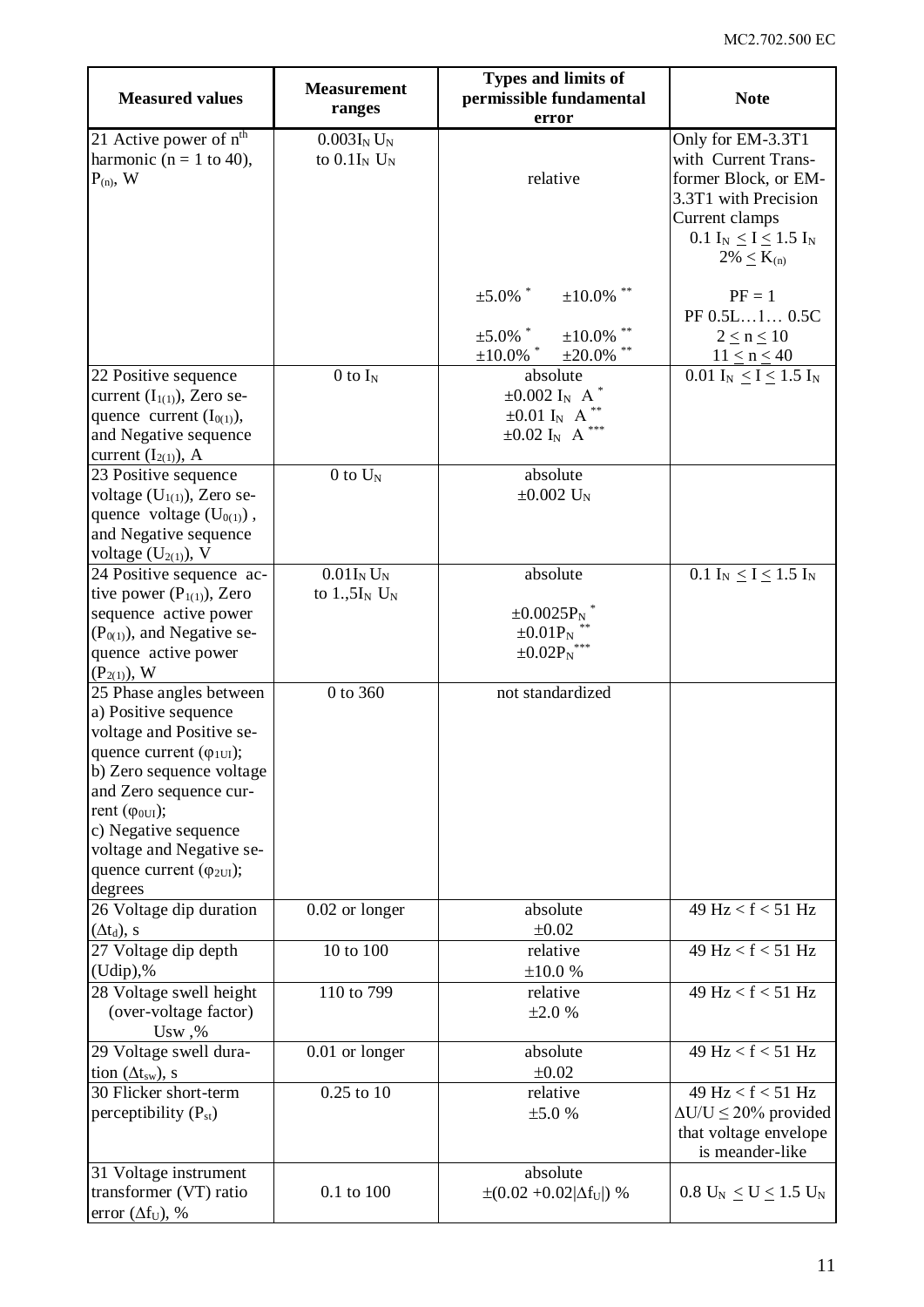| <b>Measured values</b>                                                                                                                                                                                                                                                                                  | <b>Measurement</b><br>ranges                | Types and limits of<br>permissible fundamental<br>error                                                    | <b>Note</b>                                                                                                                                                        |
|---------------------------------------------------------------------------------------------------------------------------------------------------------------------------------------------------------------------------------------------------------------------------------------------------------|---------------------------------------------|------------------------------------------------------------------------------------------------------------|--------------------------------------------------------------------------------------------------------------------------------------------------------------------|
| 21 Active power of n <sup>th</sup><br>harmonic ( $n = 1$ to 40),<br>$P_{(n)}$ , W                                                                                                                                                                                                                       | $0.003I_NU_N$<br>to $0.1I_N$ U <sub>N</sub> | relative                                                                                                   | Only for EM-3.3T1<br>with Current Trans-<br>former Block, or EM-<br>3.3T1 with Precision<br>Current clamps<br>0.1 $I_N \leq I \leq 1.5$ $I_N$<br>$2\% \le K_{(n)}$ |
|                                                                                                                                                                                                                                                                                                         |                                             | $\pm 5.0\%$ *<br>$\pm 10.0\%$ **<br>$\pm 5.0\%$ *<br>$±10.0\%$                                             | $PF = 1$<br>PF 0.5L1 0.5C<br>$2 \leq n \leq 10$                                                                                                                    |
|                                                                                                                                                                                                                                                                                                         | $0$ to $I_N$                                | $\pm 10.0\%$ *<br>$\pm 20.0\%$<br>absolute                                                                 | $11 \le n \le 40$<br>0.01 $I_N \leq I \leq 1.5$ $I_N$                                                                                                              |
| 22 Positive sequence<br>current $(I_{1(1)})$ , Zero se-<br>quence current $(I_{0(1)})$ ,<br>and Negative sequence<br>current $(I_{2(1)})$ , A                                                                                                                                                           |                                             | $\pm 0.002$ I <sub>N</sub> A<br>$\pm 0.01$ I <sub>N</sub> A <sup>**</sup><br>$\pm 0.02$ $I_N\;$ A $^{***}$ |                                                                                                                                                                    |
| 23 Positive sequence<br>voltage $(U_{1(1)})$ , Zero se-<br>quence voltage $(U_{0(1)})$ ,<br>and Negative sequence<br>voltage $(U_{2(1)})$ , V                                                                                                                                                           | $0$ to $U_N$                                | absolute<br>$\pm 0.002$ U <sub>N</sub>                                                                     |                                                                                                                                                                    |
| 24 Positive sequence ac-                                                                                                                                                                                                                                                                                | $0.01I_N U_N$                               | absolute                                                                                                   | 0.1 I <sub>N</sub> $\leq$ I $\leq$ 1.5 I <sub>N</sub>                                                                                                              |
| tive power $(P_{1(1)})$ , Zero<br>sequence active power<br>$(P0(1))$ , and Negative se-<br>quence active power<br>$(P_{2(1)})$ , W                                                                                                                                                                      | to $1.,5I_N$ U <sub>N</sub>                 | $\pm 0.0025 P_N$ <sup>*</sup><br>$\pm 0.01P_N$<br>$\pm 0.02 P_N$ ***                                       |                                                                                                                                                                    |
| 25 Phase angles between<br>a) Positive sequence<br>voltage and Positive se-<br>quence current $(\varphi_{1UI})$ ;<br>b) Zero sequence voltage<br>and Zero sequence cur-<br>rent $(\varphi_{0UI})$ ;<br>c) Negative sequence<br>voltage and Negative se-<br>quence current $(\varphi_{2UI});$<br>degrees | 0 to 360                                    | not standardized                                                                                           |                                                                                                                                                                    |
| 26 Voltage dip duration<br>$(\Delta t_d)$ , s                                                                                                                                                                                                                                                           | 0.02 or longer                              | absolute<br>$\pm 0.02$                                                                                     | 49 Hz < f < 51 Hz                                                                                                                                                  |
| 27 Voltage dip depth<br>$(Udip),\%$                                                                                                                                                                                                                                                                     | 10 to 100                                   | relative<br>±10.0%                                                                                         | 49 Hz < $f$ < 51 Hz                                                                                                                                                |
| 28 Voltage swell height<br>(over-voltage factor)<br>Usw, %                                                                                                                                                                                                                                              | 110 to 799                                  | relative<br>±2.0%                                                                                          | $49$ Hz < f < 51 Hz                                                                                                                                                |
| 29 Voltage swell dura-<br>tion $(\Delta t_{sw})$ , s                                                                                                                                                                                                                                                    | 0.01 or longer                              | absolute<br>$\pm 0.02$                                                                                     | 49 Hz < f < 51 Hz                                                                                                                                                  |
| 30 Flicker short-term<br>perceptibility $(P_{st})$                                                                                                                                                                                                                                                      | $0.25$ to $10$                              | relative<br>±5.0%                                                                                          | 49 $Hz < f < 51 Hz$<br>$\Delta U/U \leq 20\%$ provided<br>that voltage envelope<br>is meander-like                                                                 |
| 31 Voltage instrument<br>transformer (VT) ratio<br>error $(\Delta f_U)$ , %                                                                                                                                                                                                                             | $0.1$ to $100\,$                            | absolute<br>$\pm (0.02 + 0.02  \Delta f_U )$ %                                                             | $0.8 \, U_N \leq U \leq 1.5 \, U_N$                                                                                                                                |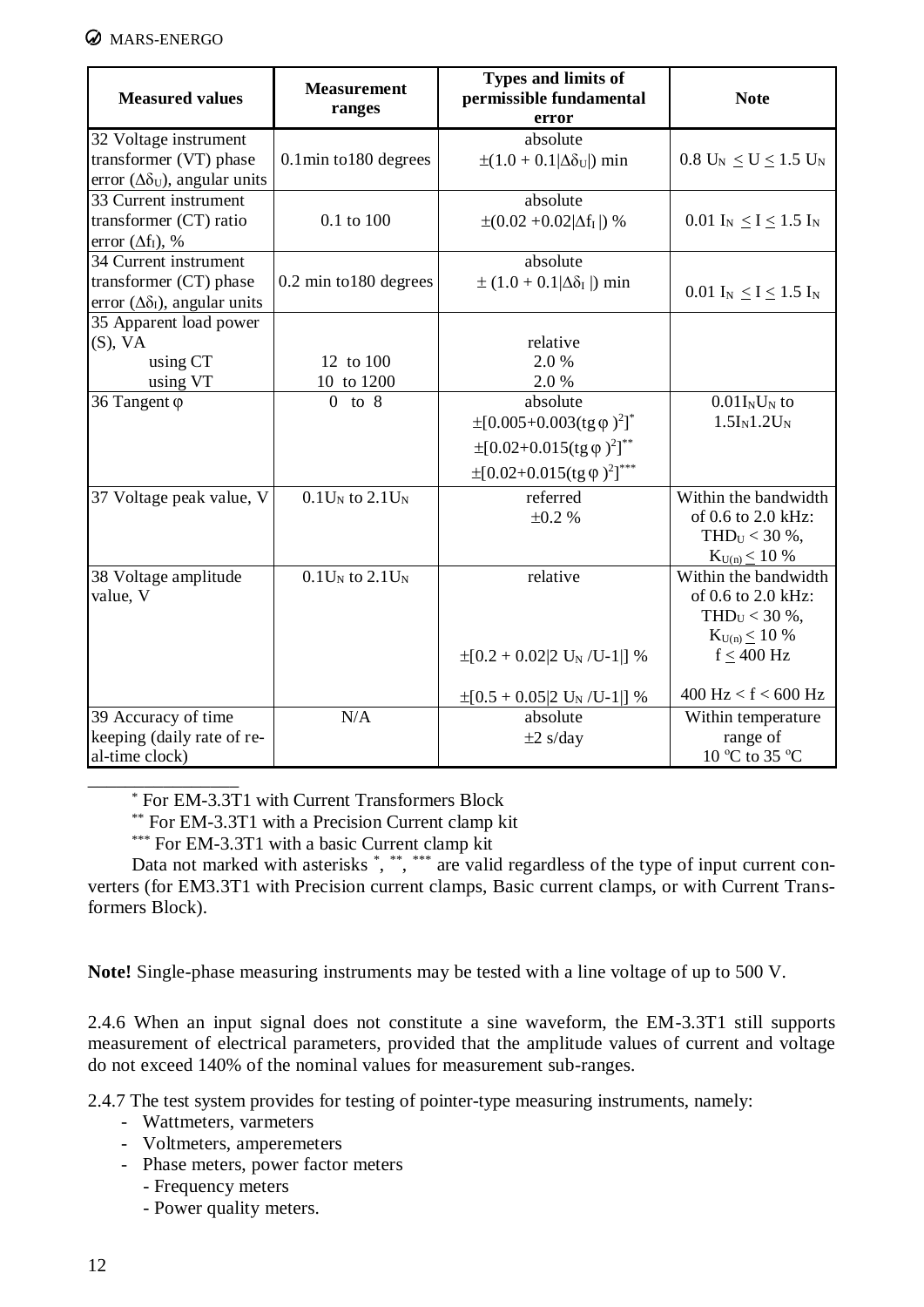#### **WARS-ENERGO**

| <b>Measured values</b>                                                                         | <b>Measurement</b><br>ranges | Types and limits of<br>permissible fundamental<br>error                                                                                                                                                      | <b>Note</b>                                                                                            |
|------------------------------------------------------------------------------------------------|------------------------------|--------------------------------------------------------------------------------------------------------------------------------------------------------------------------------------------------------------|--------------------------------------------------------------------------------------------------------|
| 32 Voltage instrument<br>transformer (VT) phase<br>error $(\Delta \delta_U)$ , angular units   | $0.1$ min to $180$ degrees   | absolute<br>$\pm(1.0 + 0.1 \Delta\delta_U )$ min                                                                                                                                                             | $0.8 U_N \le U \le 1.5 U_N$                                                                            |
| 33 Current instrument<br>transformer (CT) ratio<br>error $(\Delta f_I)$ , %                    | 0.1 to 100                   | absolute<br>$\pm (0.02 + 0.02  \Delta f_I )$ %                                                                                                                                                               | 0.01 $I_N \le I \le 1.5 I_N$                                                                           |
| 34 Current instrument<br>transformer (CT) phase<br>error $(\Delta \delta_{I})$ , angular units | 0.2 min to 180 degrees       | absolute<br>$\pm (1.0 + 0.1   \Delta \delta_I)$ min                                                                                                                                                          | 0.01 $I_N \le I \le 1.5 I_N$                                                                           |
| 35 Apparent load power<br>$(S)$ , VA<br>using CT<br>using VT                                   | 12 to 100<br>10 to 1200      | relative<br>2.0%<br>2.0%                                                                                                                                                                                     |                                                                                                        |
| 36 Tangent φ                                                                                   | $0$ to $8$                   | absolute<br>$\pm$ [0.005+0.003(tg $\varphi$ ) <sup>2</sup> ] <sup>*</sup><br>$\pm$ [0.02+0.015(tg $\varphi$ ) <sup>2</sup> ] <sup>**</sup><br>$\pm$ [0.02+0.015(tg $\varphi$ ) <sup>2</sup> ] <sup>***</sup> | $0.01I_NU_N$ to<br>$1.5I_N1.2U_N$                                                                      |
| 37 Voltage peak value, V                                                                       | $0.1U_N$ to $2.1U_N$         | referred<br>$\pm 0.2 \%$                                                                                                                                                                                     | Within the bandwidth<br>of 0.6 to 2.0 kHz:<br>THD $_U$ < 30 %,<br>$K_{U(n)} \leq 10\%$                 |
| 38 Voltage amplitude<br>value, V                                                               | $0.1U_N$ to $2.1U_N$         | relative<br>$\pm [0.2 + 0.02]$ U <sub>N</sub> /U-1 ] %                                                                                                                                                       | Within the bandwidth<br>of 0.6 to 2.0 kHz:<br>THD $_U$ < 30 %,<br>$K_{U(n)} \leq 10\%$<br>$f < 400$ Hz |
| 39 Accuracy of time<br>keeping (daily rate of re-<br>al-time clock)                            | N/A                          | $\pm[0.5+0.05]2$ U <sub>N</sub> /U-1 ] %<br>absolute<br>$\pm 2$ s/day                                                                                                                                        | $400$ Hz < f < 600 Hz<br>Within temperature<br>range of<br>10 °C to 35 °C                              |

\_\_\_\_\_\_\_\_\_\_\_\_\_\_\_\_ \* For EM-3.3T1 with Current Transformers Block

\*\* For EM-3.3T1 with a Precision Current clamp kit

\*\*\* For EM-3.3T1 with a basic Current clamp kit

Data not marked with asterisks \*, \*\*, \*\*\* are valid regardless of the type of input current converters (for EM3.3T1 with Precision current clamps, Basic current clamps, or with Current Transformers Block).

**Note!** Single-phase measuring instruments may be tested with a line voltage of up to 500 V.

2.4.6 When an input signal does not constitute a sine waveform, the EM-3.3T1 still supports measurement of electrical parameters, provided that the amplitude values of current and voltage do not exceed 140% of the nominal values for measurement sub-ranges.

2.4.7 The test system provides for testing of pointer-type measuring instruments, namely:

- Wattmeters, varmeters
- Voltmeters, amperemeters
- Phase meters, power factor meters
	- Frequency meters
	- Power quality meters.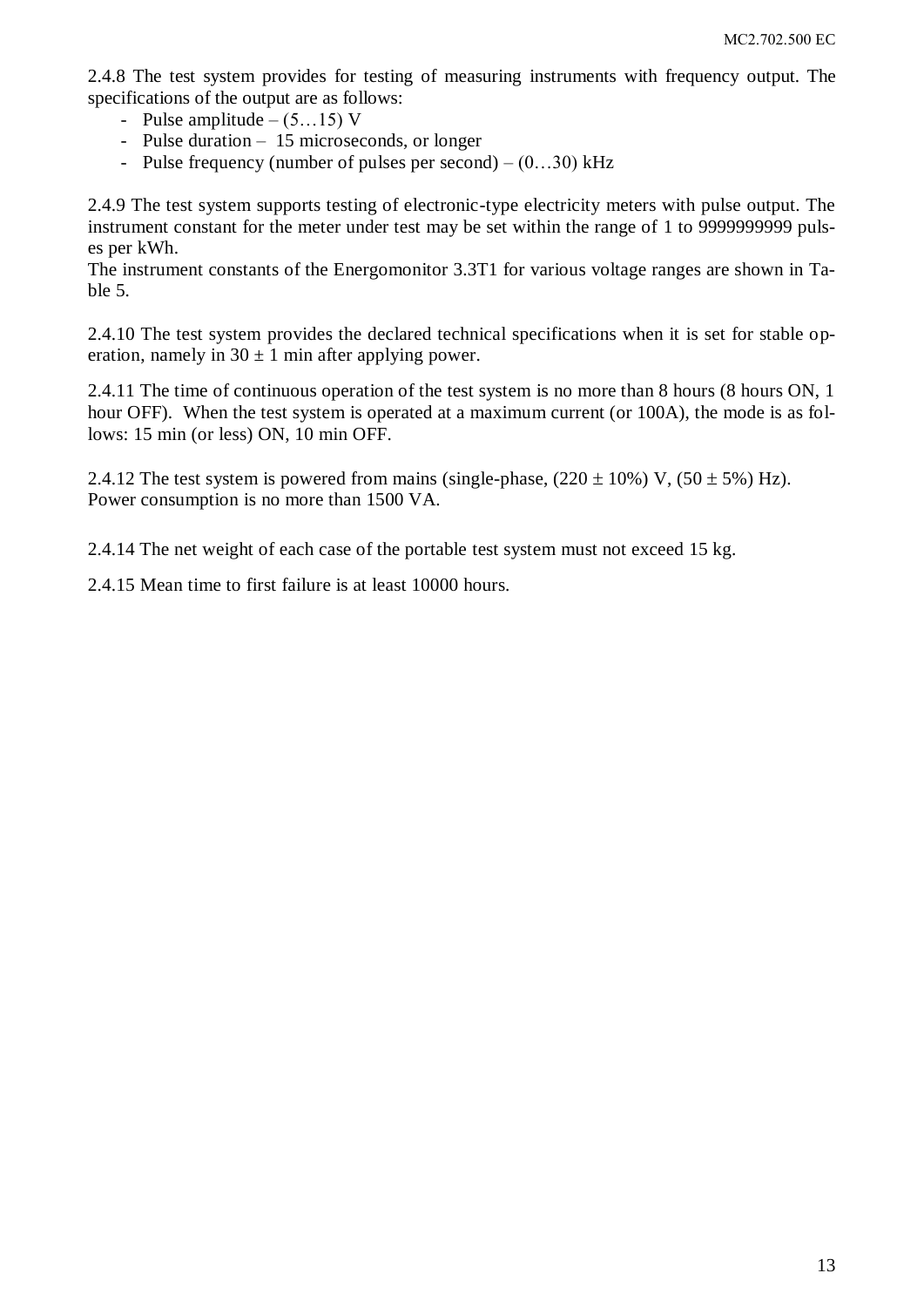2.4.8 The test system provides for testing of measuring instruments with frequency output. The specifications of the output are as follows:

- Pulse amplitude  $(5...15)$  V
- Pulse duration 15 microseconds, or longer
- Pulse frequency (number of pulses per second)  $(0...30)$  kHz

2.4.9 The test system supports testing of electronic-type electricity meters with pulse output. The instrument constant for the meter under test may be set within the range of 1 to 9999999999 pulses per kWh.

The instrument constants of the Energomonitor 3.3T1 for various voltage ranges are shown in Table 5.

2.4.10 The test system provides the declared technical specifications when it is set for stable operation, namely in  $30 \pm 1$  min after applying power.

2.4.11 The time of continuous operation of the test system is no more than 8 hours (8 hours ON, 1 hour OFF). When the test system is operated at a maximum current (or 100A), the mode is as follows: 15 min (or less) ON, 10 min OFF.

2.4.12 The test system is powered from mains (single-phase,  $(220 \pm 10\%)$  V,  $(50 \pm 5\%)$  Hz). Power consumption is no more than 1500 VA.

2.4.14 The net weight of each case of the portable test system must not exceed 15 kg.

2.4.15 Mean time to first failure is at least 10000 hours.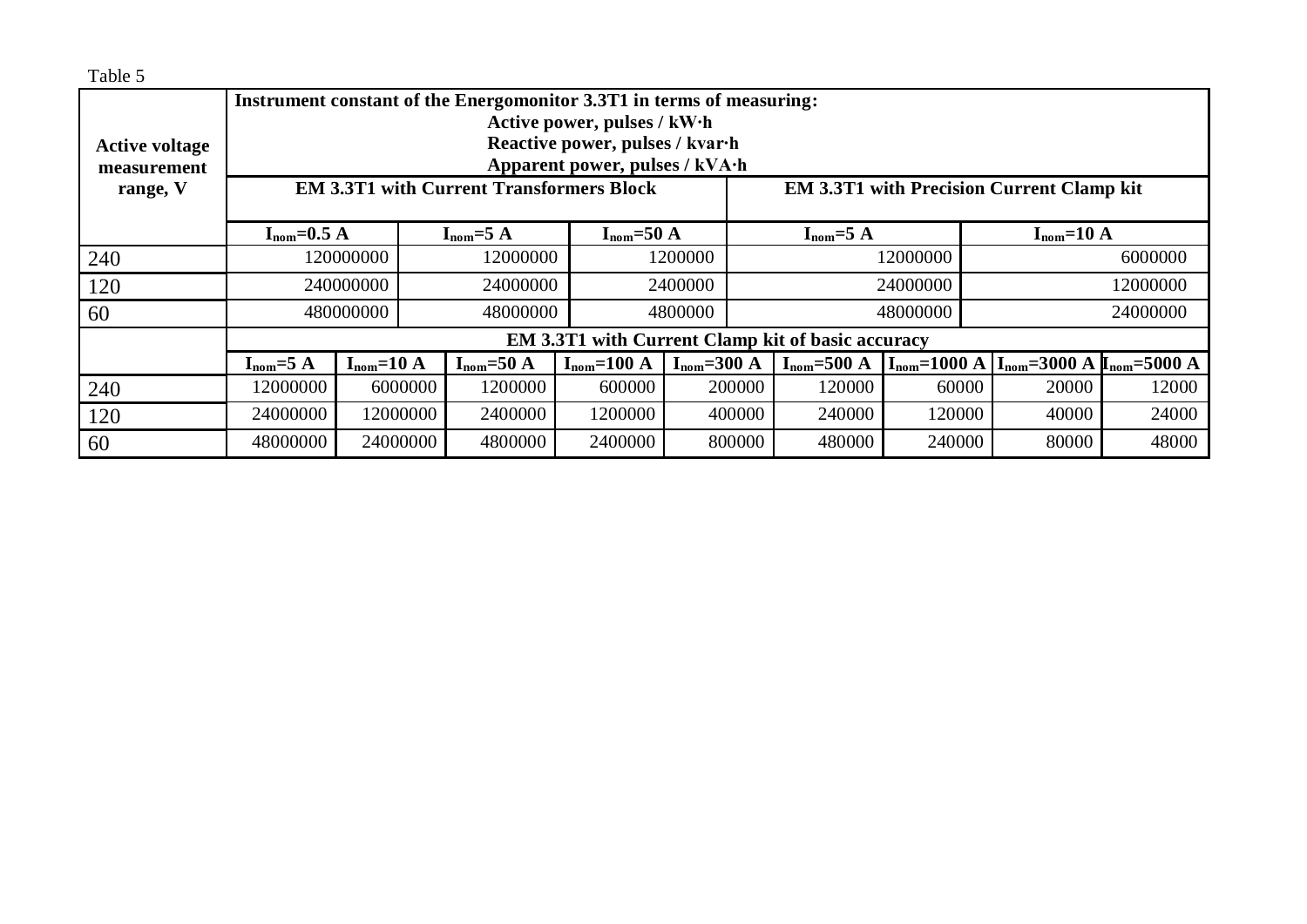| Table 5                                           |                                                                       |                |                                                 |                                 |                   |                          |                  |                                                                   |       |
|---------------------------------------------------|-----------------------------------------------------------------------|----------------|-------------------------------------------------|---------------------------------|-------------------|--------------------------|------------------|-------------------------------------------------------------------|-------|
|                                                   | Instrument constant of the Energomonitor 3.3T1 in terms of measuring: |                |                                                 |                                 |                   |                          |                  |                                                                   |       |
|                                                   | Active power, pulses / kW·h                                           |                |                                                 |                                 |                   |                          |                  |                                                                   |       |
| <b>Active voltage</b>                             |                                                                       |                |                                                 | Reactive power, pulses / kvar-h |                   |                          |                  |                                                                   |       |
| measurement                                       |                                                                       |                |                                                 | Apparent power, pulses / kVA·h  |                   |                          |                  |                                                                   |       |
| range, V                                          |                                                                       |                | <b>EM 3.3T1 with Current Transformers Block</b> |                                 |                   |                          |                  | <b>EM 3.3T1 with Precision Current Clamp kit</b>                  |       |
|                                                   |                                                                       |                |                                                 |                                 |                   |                          |                  |                                                                   |       |
|                                                   | $I_{\text{nom}}=0.5 \text{ A}$                                        |                | $I_{nom} = 5 A$                                 | $I_{nom} = 50 A$                |                   | $I_{nom}=5 A$            |                  | $I_{nom}=10 A$                                                    |       |
| 240                                               |                                                                       | 120000000      | 12000000                                        |                                 | 1200000           | 12000000                 |                  | 6000000                                                           |       |
| 120                                               |                                                                       | 240000000      | 24000000                                        |                                 | 2400000           | 24000000                 |                  | 12000000                                                          |       |
| 60                                                |                                                                       | 480000000      | 48000000                                        |                                 | 4800000           | 48000000                 |                  | 24000000                                                          |       |
| EM 3.3T1 with Current Clamp kit of basic accuracy |                                                                       |                |                                                 |                                 |                   |                          |                  |                                                                   |       |
|                                                   | $I_{nom}=5 A$                                                         | $I_{nom}=10$ A | $I_{nom}=50 A$                                  | $I_{nom}=100 A$                 | $I_{nom} = 300 A$ | $I_{\text{nom}} = 500$ A | $I_{nom}=1000 A$ | $I_{\text{nom}} = 3000 \text{ A} I_{\text{nom}} = 5000 \text{ A}$ |       |
| 240                                               | 12000000                                                              | 6000000        | 1200000                                         | 600000                          | 200000            | 120000                   | 60000            | 20000                                                             | 12000 |
| 120                                               | 24000000                                                              | 12000000       | 2400000                                         | 1200000                         | 400000            | 240000                   | 120000           | 40000                                                             | 24000 |
| 60                                                | 48000000                                                              | 24000000       | 4800000                                         | 2400000                         | 800000            | 480000                   | 240000           | 80000                                                             | 48000 |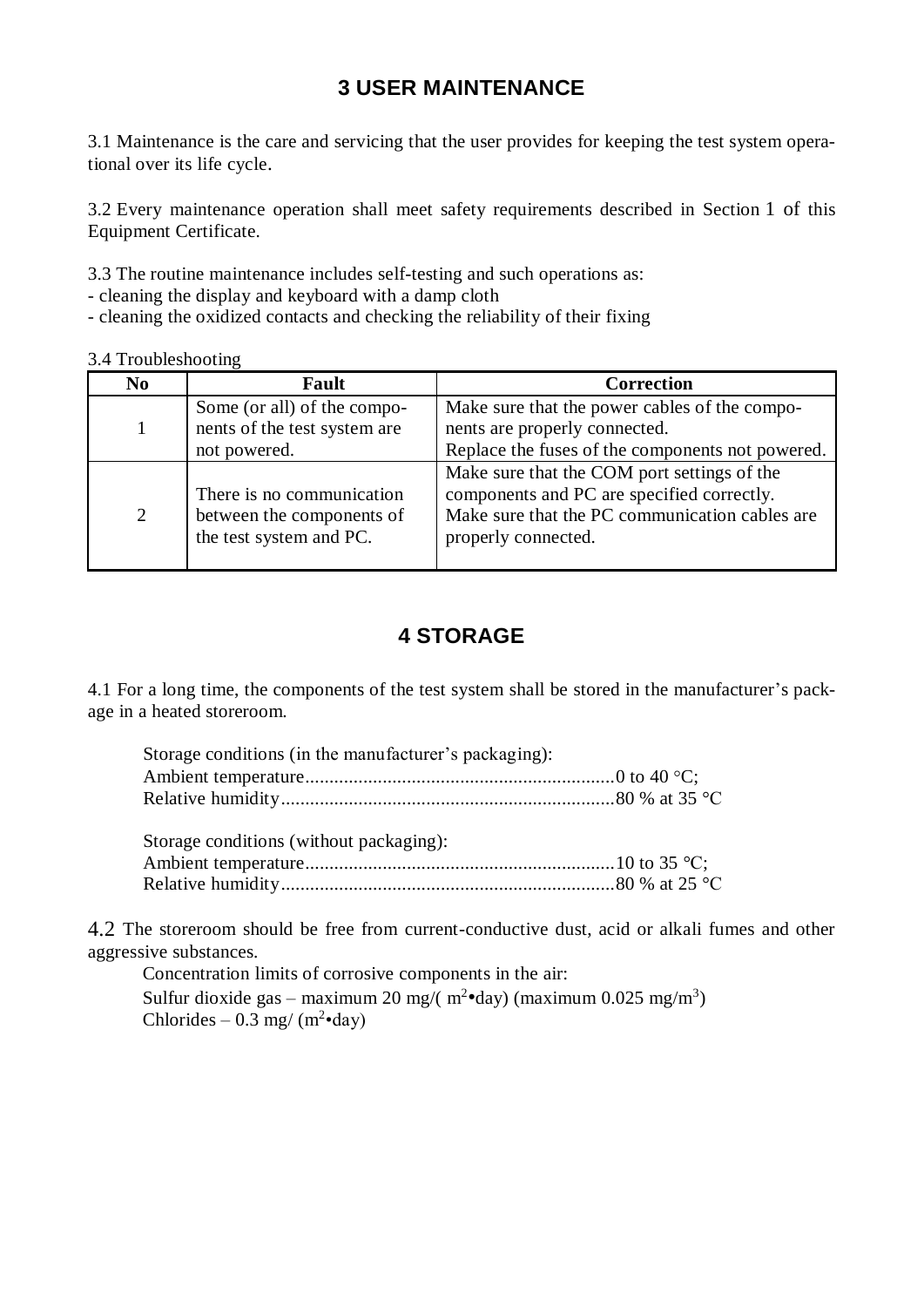# **3 USER MAINTENANCE**

<span id="page-14-0"></span>3.1 Maintenance is the care and servicing that the user provides for keeping the test system operational over its life cycle.

3.2 Every maintenance operation shall meet safety requirements described in Section 1 of this Equipment Certificate.

3.3 The routine maintenance includes self-testing and such operations as:

- cleaning the display and keyboard with a damp cloth

- cleaning the oxidized contacts and checking the reliability of their fixing

| 3.4 Troubleshooting |  |
|---------------------|--|
|                     |  |

| N <sub>0</sub> | Fault                                                  | <b>Correction</b>                                                                                                                           |  |
|----------------|--------------------------------------------------------|---------------------------------------------------------------------------------------------------------------------------------------------|--|
|                | Some (or all) of the compo-                            | Make sure that the power cables of the compo-                                                                                               |  |
|                | nents of the test system are                           | nents are properly connected.                                                                                                               |  |
|                | not powered.                                           | Replace the fuses of the components not powered.                                                                                            |  |
| $\overline{2}$ | There is no communication<br>between the components of | Make sure that the COM port settings of the<br>components and PC are specified correctly.<br>Make sure that the PC communication cables are |  |
|                | the test system and PC.                                | properly connected.                                                                                                                         |  |

# **4 STORAGE**

<span id="page-14-1"></span>4.1 For a long time, the components of the test system shall be stored in the manufacturer's package in a heated storeroom.

| Storage conditions (in the manufacturer's packaging): |  |
|-------------------------------------------------------|--|
|                                                       |  |
|                                                       |  |
| Storage conditions (without packaging):               |  |

4.2 The storeroom should be free from current-conductive dust, acid or alkali fumes and other aggressive substances.

Concentration limits of corrosive components in the air: Sulfur dioxide gas – maximum 20 mg/(  $m^2$ •day) (maximum 0.025 mg/m<sup>3</sup>) Chlorides – 0.3 mg/  $(m^2 \cdot day)$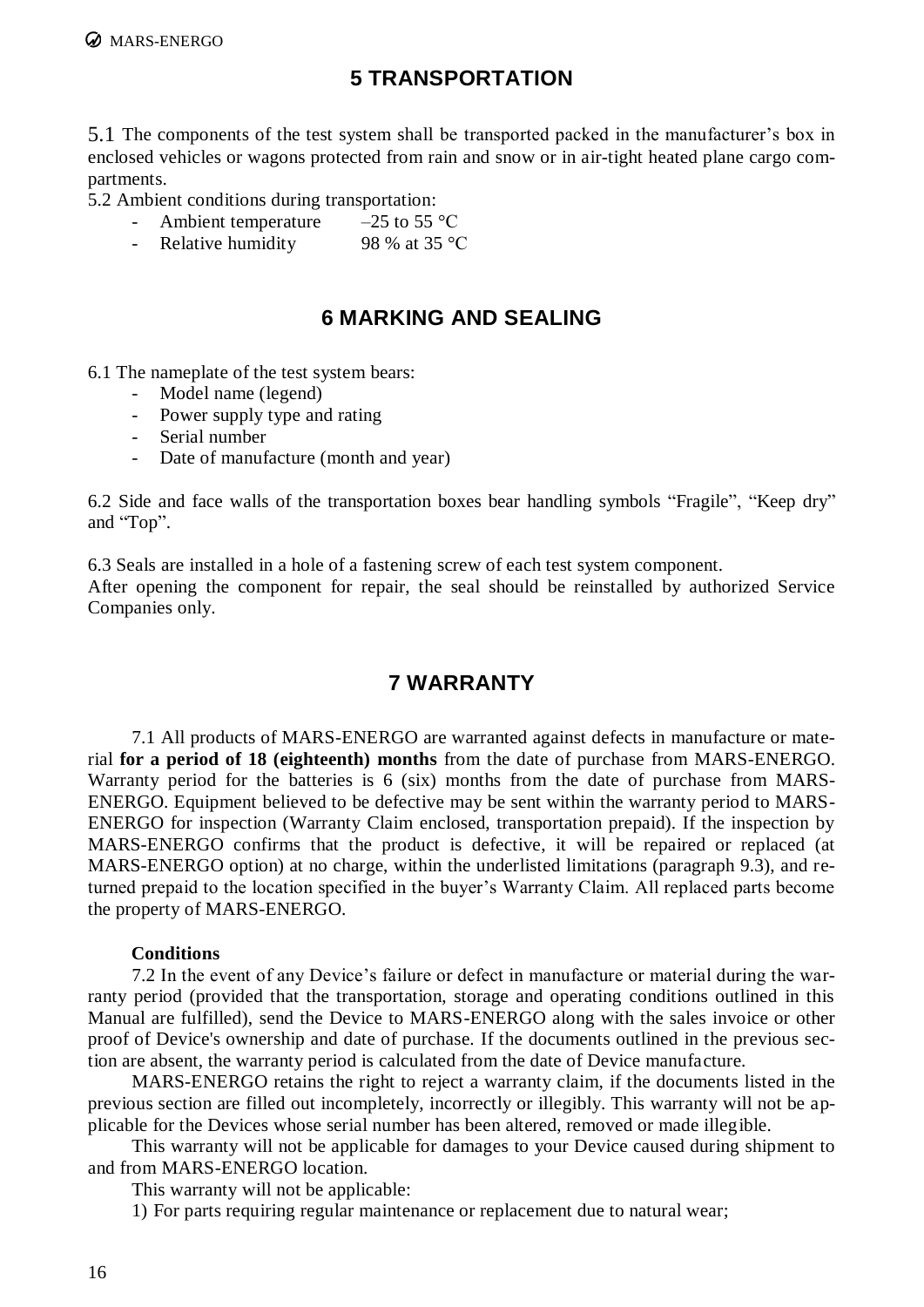# **5 TRANSPORTATION**

<span id="page-15-0"></span>5.1 The components of the test system shall be transported packed in the manufacturer's box in enclosed vehicles or wagons protected from rain and snow or in air-tight heated plane cargo compartments.

5.2 Ambient conditions during transportation:

- Ambient temperature  $-25$  to 55 °C
- Relative humidity 98 % at 35  $\degree$ C

# **6 MARKING AND SEALING**

<span id="page-15-1"></span>6.1 The nameplate of the test system bears:

- Model name (legend)
- Power supply type and rating
- Serial number
- Date of manufacture (month and year)

6.2 Side and face walls of the transportation boxes bear handling symbols "Fragile", "Keep dry" and "Top".

6.3 Seals are installed in a hole of a fastening screw of each test system component. After opening the component for repair, the seal should be reinstalled by authorized Service Companies only.

# **7 WARRANTY**

<span id="page-15-2"></span>7.1 All products of MARS-ENERGO are warranted against defects in manufacture or material **for a period of 18 (eighteenth) months** from the date of purchase from MARS-ENERGO. Warranty period for the batteries is 6 (six) months from the date of purchase from MARS-ENERGO. Equipment believed to be defective may be sent within the warranty period to MARS-ENERGO for inspection (Warranty Claim enclosed, transportation prepaid). If the inspection by MARS-ENERGO confirms that the product is defective, it will be repaired or replaced (at MARS-ENERGO option) at no charge, within the underlisted limitations (paragraph 9.3), and returned prepaid to the location specified in the buyer's Warranty Claim. All replaced parts become the property of MARS-ENERGO.

#### **Conditions**

7.2 In the event of any Device's failure or defect in manufacture or material during the warranty period (provided that the transportation, storage and operating conditions outlined in this Manual are fulfilled), send the Device to MARS-ENERGO along with the sales invoice or other proof of Device's ownership and date of purchase. If the documents outlined in the previous section are absent, the warranty period is calculated from the date of Device manufacture.

MARS-ENERGO retains the right to reject a warranty claim, if the documents listed in the previous section are filled out incompletely, incorrectly or illegibly. This warranty will not be applicable for the Devices whose serial number has been altered, removed or made illegible.

This warranty will not be applicable for damages to your Device caused during shipment to and from MARS-ENERGO location.

This warranty will not be applicable:

1) For parts requiring regular maintenance or replacement due to natural wear;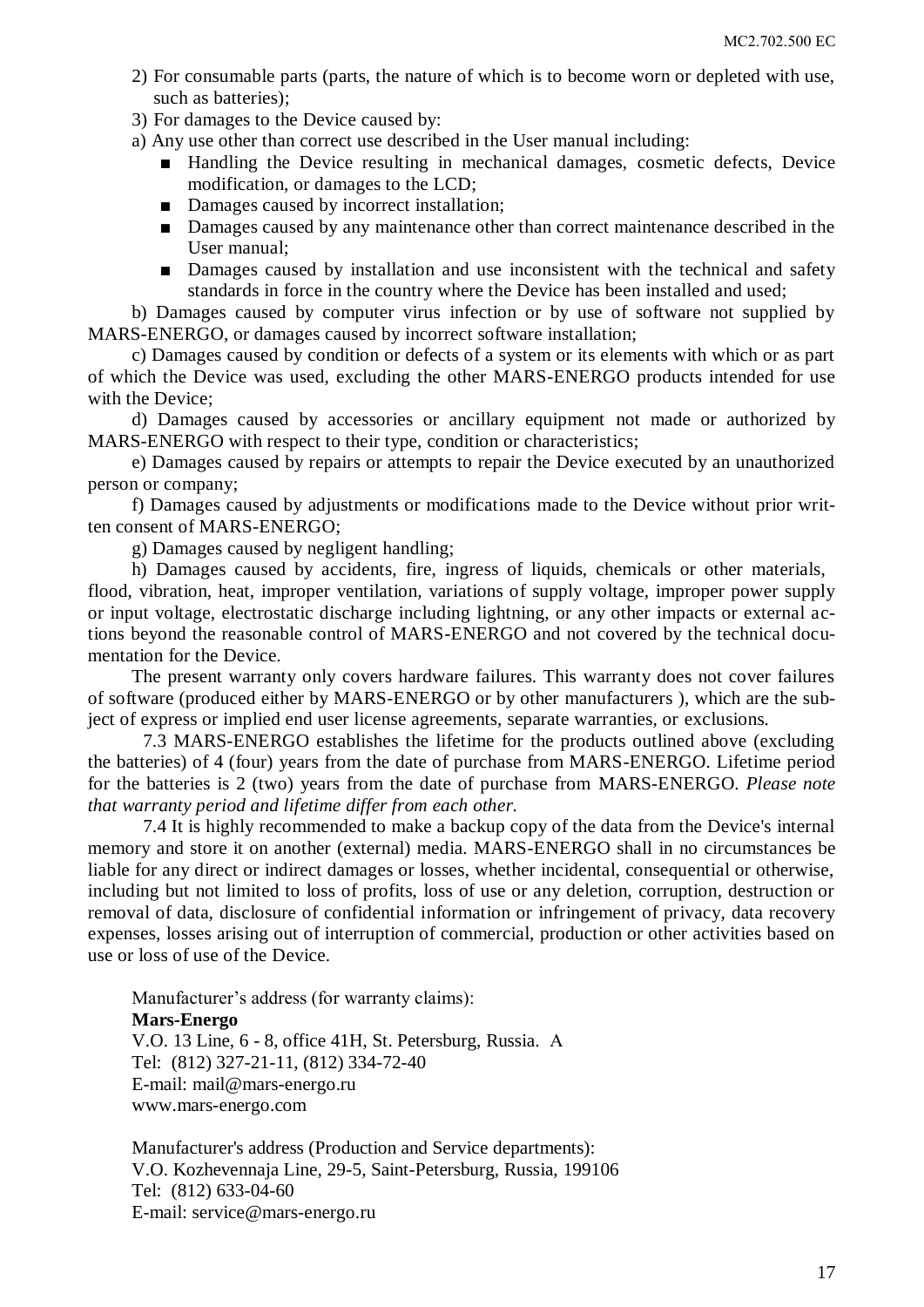- 2) For consumable parts (parts, the nature of which is to become worn or depleted with use, such as batteries);
- 3) For damages to the Device caused by:
- a) Any use other than correct use described in the User manual including:
	- Handling the Device resulting in mechanical damages, cosmetic defects, Device modification, or damages to the LCD;
	- Damages caused by incorrect installation;
	- Damages caused by any maintenance other than correct maintenance described in the User manual;
	- Damages caused by installation and use inconsistent with the technical and safety standards in force in the country where the Device has been installed and used;

b) Damages caused by computer virus infection or by use of software not supplied by MARS-ENERGO, or damages caused by incorrect software installation;

c) Damages caused by condition or defects of a system or its elements with which or as part of which the Device was used, excluding the other MARS-ENERGO products intended for use with the Device;

d) Damages caused by accessories or ancillary equipment not made or authorized by MARS-ENERGO with respect to their type, condition or characteristics;

e) Damages caused by repairs or attempts to repair the Device executed by an unauthorized person or company;

f) Damages caused by adjustments or modifications made to the Device without prior written consent of MARS-ENERGO;

g) Damages caused by negligent handling;

h) Damages caused by accidents, fire, ingress of liquids, chemicals or other materials,

flood, vibration, heat, improper ventilation, variations of supply voltage, improper power supply or input voltage, electrostatic discharge including lightning, or any other impacts or external actions beyond the reasonable control of MARS-ENERGO and not covered by the technical documentation for the Device.

The present warranty only covers hardware failures. This warranty does not cover failures of software (produced either by MARS-ENERGO or by other manufacturers ), which are the subject of express or implied end user license agreements, separate warranties, or exclusions.

7.3 MARS-ENERGO establishes the lifetime for the products outlined above (excluding the batteries) of 4 (four) years from the date of purchase from MARS-ENERGO. Lifetime period for the batteries is 2 (two) years from the date of purchase from MARS-ENERGO. *Please note that warranty period and lifetime differ from each other.*

7.4 It is highly recommended to make a backup copy of the data from the Device's internal memory and store it on another (external) media. MARS-ENERGO shall in no circumstances be liable for any direct or indirect damages or losses, whether incidental, consequential or otherwise, including but not limited to loss of profits, loss of use or any deletion, corruption, destruction or removal of data, disclosure of confidential information or infringement of privacy, data recovery expenses, losses arising out of interruption of commercial, production or other activities based on use or loss of use of the Device.

Manufacturer's address (for warranty claims): **Mars-Energo**  V.O. 13 Line, 6 - 8, office 41H, St. Petersburg, Russia. А Tel: (812) 327-21-11, (812) 334-72-40 E-mail: mail@mars-energo.ru www.mars-energo.com

Manufacturer's address (Production and Service departments): V.O. Kozhevennaja Line, 29-5, Saint-Petersburg, Russia, 199106 Tel: (812) 633-04-60 E-mail: [service@mars-energo.ru](mailto:marsel@peterlink.ru)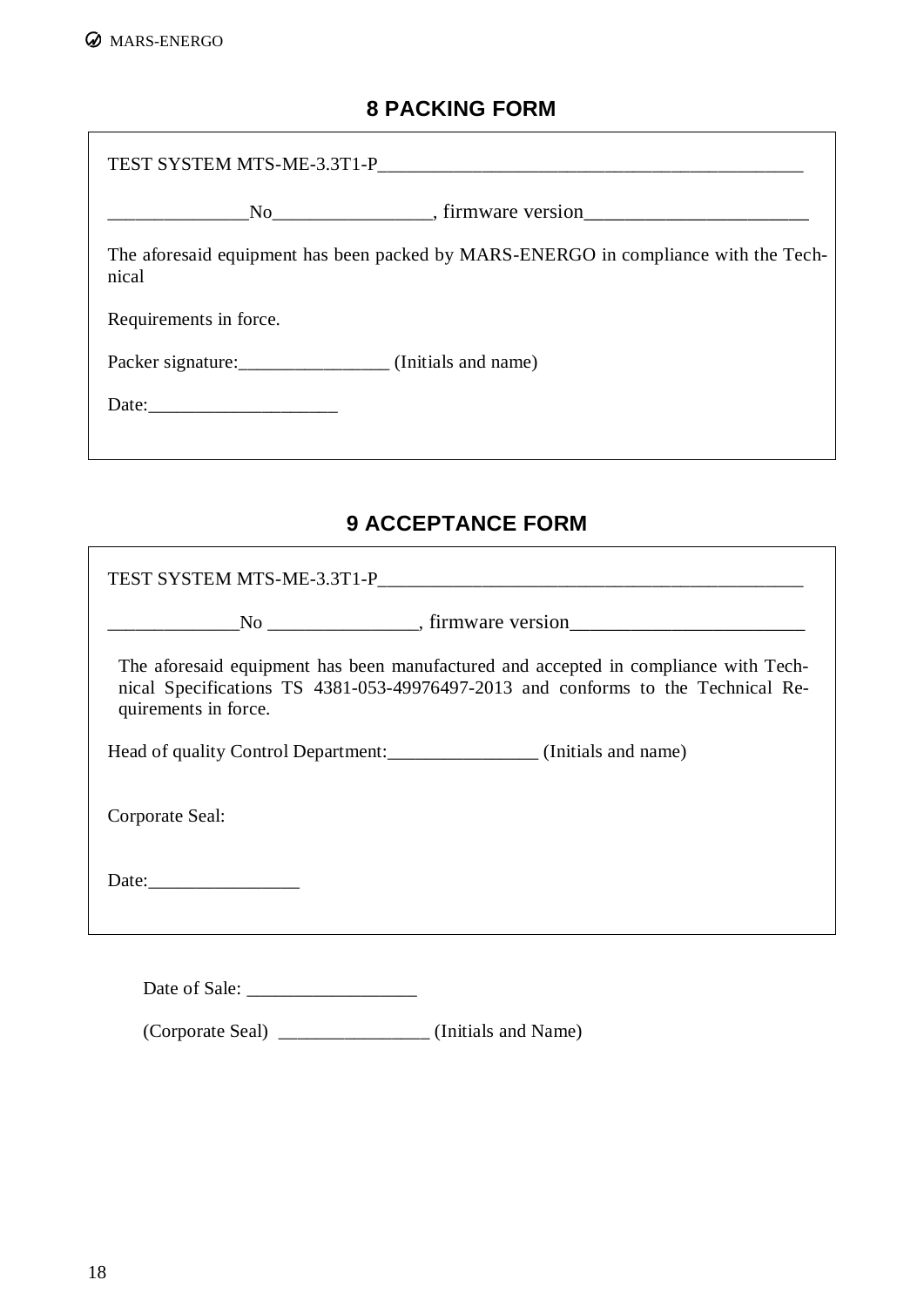# **8 PACKING FORM**

 $\overline{\phantom{0}}$ 

<span id="page-17-0"></span>

| TEST SYSTEM MTS-ME-3.3T1-P<br>TEST SYSTEM MTS-ME-3.3T1-P |                                                                                     |  |  |  |
|----------------------------------------------------------|-------------------------------------------------------------------------------------|--|--|--|
|                                                          |                                                                                     |  |  |  |
| nical                                                    | The aforesaid equipment has been packed by MARS-ENERGO in compliance with the Tech- |  |  |  |
| Requirements in force.                                   |                                                                                     |  |  |  |
| Packer signature: (Initials and name)                    |                                                                                     |  |  |  |
|                                                          |                                                                                     |  |  |  |
|                                                          |                                                                                     |  |  |  |

# **9 ACCEPTANCE FORM**

<span id="page-17-1"></span>

| The aforesaid equipment has been manufactured and accepted in compliance with Tech-<br>nical Specifications TS 4381-053-49976497-2013 and conforms to the Technical Re-<br>quirements in force. |  |  |  |  |
|-------------------------------------------------------------------------------------------------------------------------------------------------------------------------------------------------|--|--|--|--|
|                                                                                                                                                                                                 |  |  |  |  |
| Corporate Seal:                                                                                                                                                                                 |  |  |  |  |
|                                                                                                                                                                                                 |  |  |  |  |
|                                                                                                                                                                                                 |  |  |  |  |

Date of Sale: \_\_\_\_\_\_\_\_\_\_\_\_\_\_\_\_\_\_

(Corporate Seal) \_\_\_\_\_\_\_\_\_\_\_\_\_\_\_\_ (Initials and Name)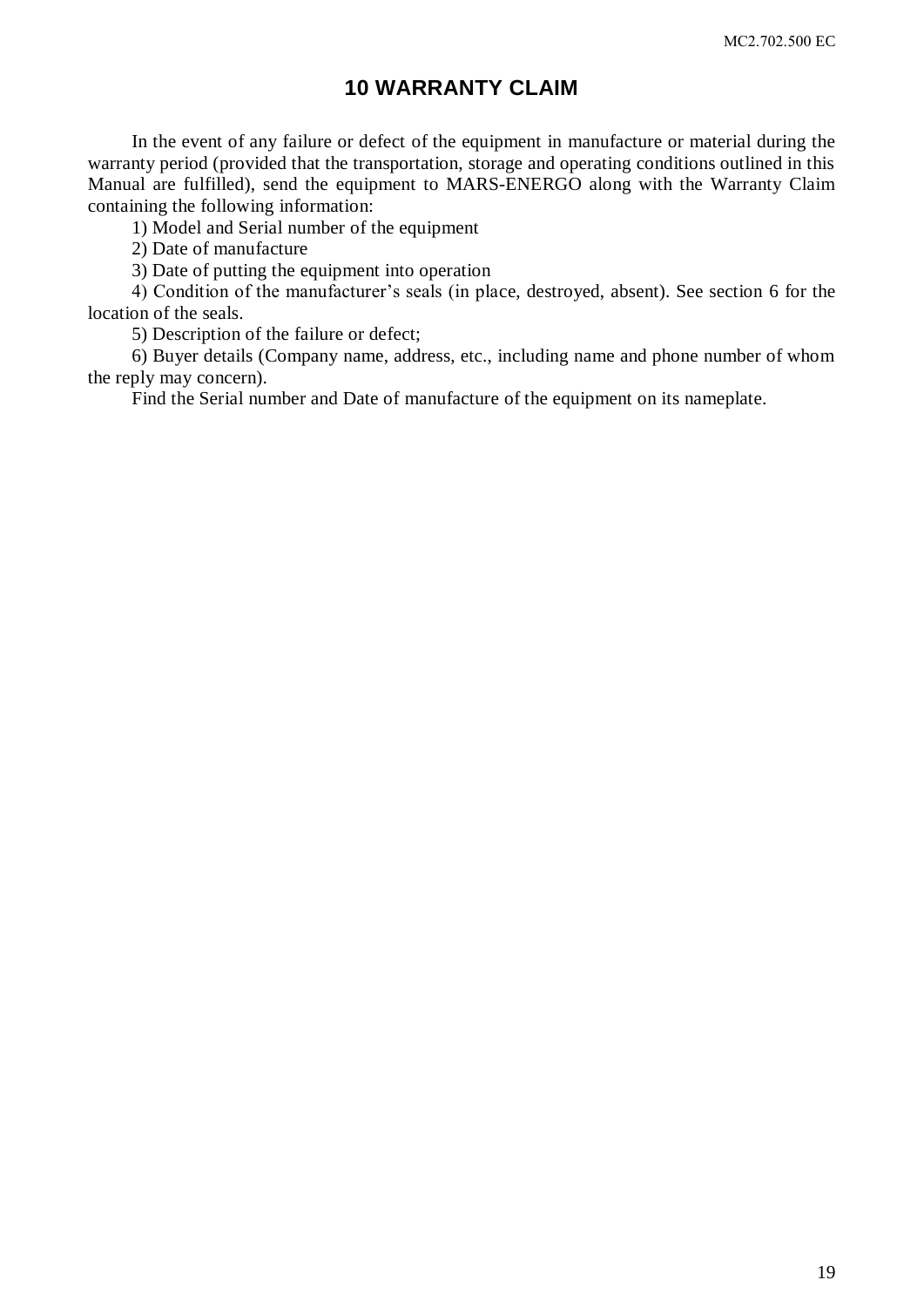### **10 WARRANTY CLAIM**

<span id="page-18-0"></span>In the event of any failure or defect of the equipment in manufacture or material during the warranty period (provided that the transportation, storage and operating conditions outlined in this Manual are fulfilled), send the equipment to MARS-ENERGO along with the Warranty Claim containing the following information:

1) Model and Serial number of the equipment

2) Date of manufacture

3) Date of putting the equipment into operation

4) Condition of the manufacturer's seals (in place, destroyed, absent). See section 6 for the location of the seals.

5) Description of the failure or defect;

6) Buyer details (Company name, address, etc., including name and phone number of whom the reply may concern).

<span id="page-18-1"></span>Find the Serial number and Date of manufacture of the equipment on its nameplate.